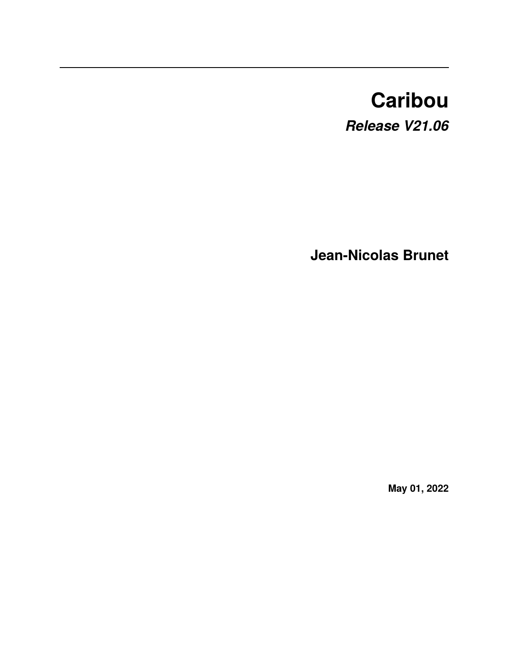# **Caribou**

*Release V21.06*

**Jean-Nicolas Brunet**

**May 01, 2022**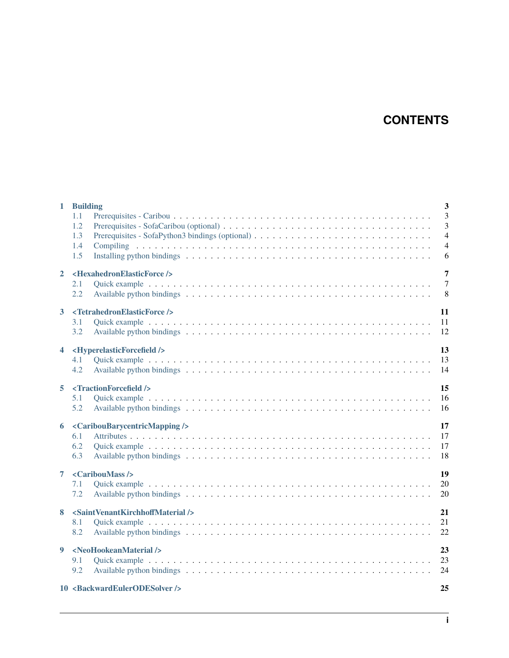# **CONTENTS**

| $\mathbf{1}$         | <b>Building</b><br>1.1<br>1.2<br>1.3<br>1.4<br>1.5                             | $\overline{\mathbf{3}}$<br>$\overline{3}$<br>$\overline{3}$<br>$\overline{4}$<br>$\overline{4}$<br>6 |
|----------------------|--------------------------------------------------------------------------------|------------------------------------------------------------------------------------------------------|
| $\mathbf{2}$         | <hexahedronelasticforce></hexahedronelasticforce><br>2.1<br>2.2                | $\overline{7}$<br>$\overline{7}$<br>8                                                                |
| 3 <sup>1</sup>       | <tetrahedronelasticforce></tetrahedronelasticforce><br>3.1<br>3.2              | 11<br>11<br>12                                                                                       |
| $\blacktriangleleft$ | <hyperelasticforcefield></hyperelasticforcefield><br>4.1<br>4.2                | 13<br>13<br>14                                                                                       |
| 5                    | <tractionforcefield></tractionforcefield><br>5.1<br>5.2                        | 15<br>16<br>16                                                                                       |
|                      | 6 <cariboubarycentricmapping></cariboubarycentricmapping><br>6.1<br>6.2<br>6.3 | 17<br>17<br>17<br>18                                                                                 |
| 7                    | <cariboumass></cariboumass><br>7.1<br>7.2                                      | 19<br>20<br>20                                                                                       |
| 8                    | <saintvenantkirchhoffmaterial></saintvenantkirchhoffmaterial><br>8.1<br>8.2    | 21<br>21<br>22                                                                                       |
| 9                    | <neohookeanmaterial></neohookeanmaterial><br>9.1<br>9.2                        | 23<br>23<br>24                                                                                       |
|                      | 10 <backwardeulerodesolver></backwardeulerodesolver>                           | 25                                                                                                   |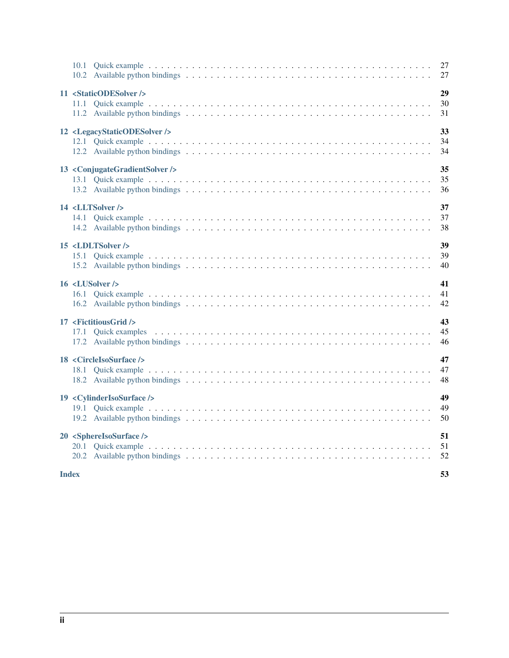| 11 <staticodesolver></staticodesolver>                 | 29<br>30<br>31 |
|--------------------------------------------------------|----------------|
| 12 <legacystaticodesolver></legacystaticodesolver>     | 33<br>34<br>34 |
| 13 <conjugategradientsolver></conjugategradientsolver> | 35<br>35<br>36 |
| 14 <lltsolver></lltsolver>                             | 37<br>37<br>38 |
| 15 <ldltsolver></ldltsolver>                           | 39<br>39<br>40 |
| 16 <lusolver></lusolver>                               | 41<br>41<br>42 |
| 17 <fictitiousgrid></fictitiousgrid>                   | 43<br>45<br>46 |
| 18 <circleisosurface></circleisosurface>               | 47<br>47<br>48 |
| 19 <cylinderisosurface></cylinderisosurface>           | 49<br>49<br>50 |
| 20 <sphereisosurface></sphereisosurface>               | 51<br>51<br>52 |
| <b>Index</b>                                           | 53             |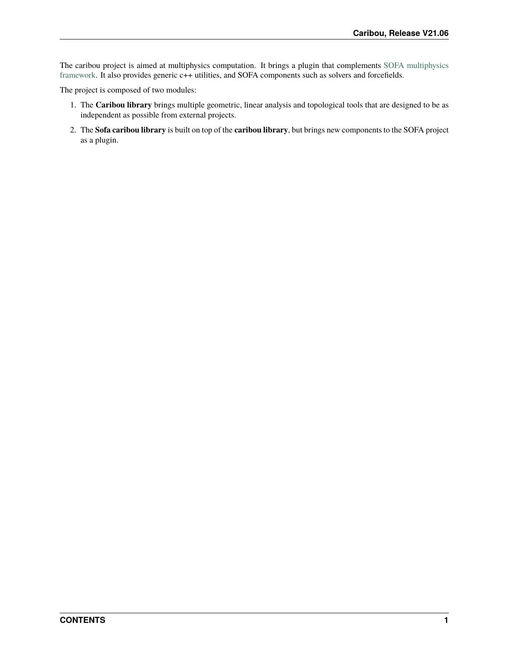The caribou project is aimed at multiphysics computation. It brings a plugin that complements [SOFA multiphysics](https://www.sofa-framework.org) [framework.](https://www.sofa-framework.org) It also provides generic c++ utilities, and SOFA components such as solvers and forcefields.

The project is composed of two modules:

- 1. The **Caribou library** brings multiple geometric, linear analysis and topological tools that are designed to be as independent as possible from external projects.
- 2. The **Sofa caribou library** is built on top of the **caribou library**, but brings new components to the SOFA project as a plugin.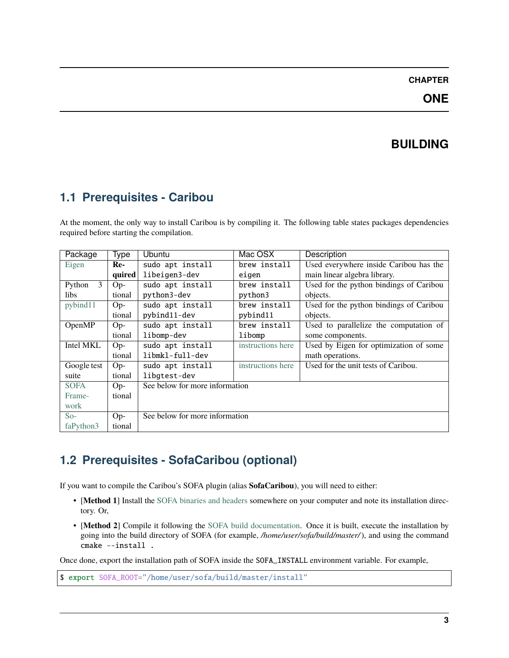### **ONE**

# **BUILDING**

# <span id="page-6-1"></span><span id="page-6-0"></span>**1.1 Prerequisites - Caribou**

At the moment, the only way to install Caribou is by compiling it. The following table states packages dependencies required before starting the compilation.

| Package                 | Type   | <b>Ubuntu</b>                  | Mac OSX           | Description                             |
|-------------------------|--------|--------------------------------|-------------------|-----------------------------------------|
| Eigen                   | Re-    | sudo apt install               | brew install      | Used everywhere inside Caribou has the  |
|                         | quired | libeigen3-dev                  | eigen             | main linear algebra library.            |
| $\mathcal{E}$<br>Python | $Op-$  | sudo apt install               | brew install      | Used for the python bindings of Caribou |
| <i>libs</i>             | tional | python3-dev                    | python3           | objects.                                |
| pybind11                | $Op-$  | sudo apt install               | brew install      | Used for the python bindings of Caribou |
|                         | tional | pybind11-dev                   | pybind11          | objects.                                |
| OpenMP                  | $Op-$  | sudo apt install               | brew install      | Used to parallelize the computation of  |
|                         | tional | libomp-dev                     | libomp            | some components.                        |
| Intel MKL               | $Op-$  | sudo apt install               | instructions here | Used by Eigen for optimization of some  |
|                         | tional | libmkl-full-dev                |                   | math operations.                        |
| Google test             | $Op-$  | sudo apt install               | instructions here | Used for the unit tests of Caribou.     |
| suite                   | tional | libgtest-dev                   |                   |                                         |
| <b>SOFA</b>             | $Op-$  | See below for more information |                   |                                         |
| Frame-                  | tional |                                |                   |                                         |
| work                    |        |                                |                   |                                         |
| $So-$                   | $Op-$  | See below for more information |                   |                                         |
| faPython3               | tional |                                |                   |                                         |

# <span id="page-6-2"></span>**1.2 Prerequisites - SofaCaribou (optional)**

If you want to compile the Caribou's SOFA plugin (alias **SofaCaribou**), you will need to either:

- [**Method 1**] Install the [SOFA binaries and headers](https://www.sofa-framework.org/download/) somewhere on your computer and note its installation directory. Or,
- [**Method 2**] Compile it following the [SOFA build documentation.](https://www.sofa-framework.org/community/doc/getting-started/build/linux/) Once it is built, execute the installation by going into the build directory of SOFA (for example, */home/user/sofa/build/master/*), and using the command cmake --install .

Once done, export the installation path of SOFA inside the SOFA\_INSTALL environment variable. For example,

\$ export SOFA\_ROOT="/home/user/sofa/build/master/install"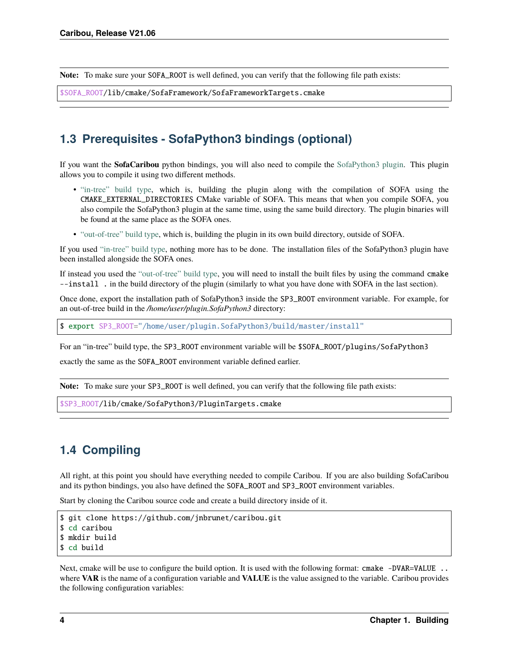**Note:** To make sure your SOFA\_ROOT is well defined, you can verify that the following file path exists:

```
$SOFA_ROOT/lib/cmake/SofaFramework/SofaFrameworkTargets.cmake
```
## <span id="page-7-0"></span>**1.3 Prerequisites - SofaPython3 bindings (optional)**

If you want the **SofaCaribou** python bindings, you will also need to compile the [SofaPython3 plugin.](https://github.com/sofa-framework/plugin.SofaPython3) This plugin allows you to compile it using two different methods.

- ["in-tree" build type,](https://github.com/sofa-framework/plugin.SofaPython3#in-tree-build) which is, building the plugin along with the compilation of SOFA using the CMAKE\_EXTERNAL\_DIRECTORIES CMake variable of SOFA. This means that when you compile SOFA, you also compile the SofaPython3 plugin at the same time, using the same build directory. The plugin binaries will be found at the same place as the SOFA ones.
- ["out-of-tree" build type,](https://github.com/sofa-framework/plugin.SofaPython3#out-of-tree-build) which is, building the plugin in its own build directory, outside of SOFA.

If you used ["in-tree" build type,](https://github.com/sofa-framework/plugin.SofaPython3#in-tree-build) nothing more has to be done. The installation files of the SofaPython3 plugin have been installed alongside the SOFA ones.

If instead you used the ["out-of-tree" build type,](https://github.com/sofa-framework/plugin.SofaPython3#out-of-tree-build) you will need to install the built files by using the command cmake --install . in the build directory of the plugin (similarly to what you have done with SOFA in the last section).

Once done, export the installation path of SofaPython3 inside the SP3\_ROOT environment variable. For example, for an out-of-tree build in the */home/user/plugin.SofaPython3* directory:

\$ export SP3\_ROOT="/home/user/plugin.SofaPython3/build/master/install"

For an "in-tree" build type, the SP3\_ROOT environment variable will be \$SOFA\_ROOT/plugins/SofaPython3

exactly the same as the SOFA\_ROOT environment variable defined earlier.

**Note:** To make sure your SP3\_ROOT is well defined, you can verify that the following file path exists:

\$SP3\_ROOT/lib/cmake/SofaPython3/PluginTargets.cmake

## <span id="page-7-1"></span>**1.4 Compiling**

All right, at this point you should have everything needed to compile Caribou. If you are also building SofaCaribou and its python bindings, you also have defined the SOFA\_ROOT and SP3\_ROOT environment variables.

Start by cloning the Caribou source code and create a build directory inside of it.

```
$ git clone https://github.com/jnbrunet/caribou.git
$ cd caribou
$ mkdir build
$ cd build
```
Next, cmake will be use to configure the build option. It is used with the following format: cmake -DVAR=VALUE .. where **VAR** is the name of a configuration variable and **VALUE** is the value assigned to the variable. Caribou provides the following configuration variables: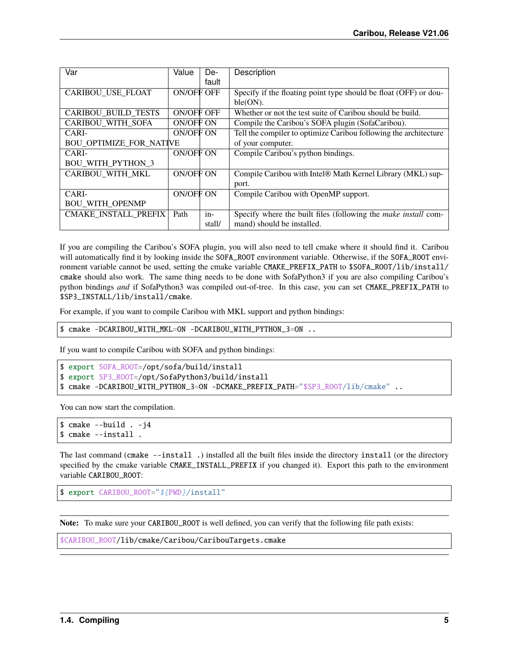| Var                            | Value      | De-    | Description                                                           |
|--------------------------------|------------|--------|-----------------------------------------------------------------------|
|                                |            | fault  |                                                                       |
| <b>CARIBOU USE FLOAT</b>       | ON/OFF OFF |        | Specify if the floating point type should be float (OFF) or dou-      |
|                                |            |        | ble(ON).                                                              |
| <b>CARIBOU BUILD TESTS</b>     | ON/OFF OFF |        | Whether or not the test suite of Caribou should be build.             |
| <b>CARIBOU WITH SOFA</b>       | ON/OFF ON  |        | Compile the Caribou's SOFA plugin (SofaCaribou).                      |
| CARI-                          | ON/OFF ON  |        | Tell the compiler to optimize Caribou following the architecture      |
| <b>BOU OPTIMIZE_FOR_NATIVE</b> |            |        | of your computer.                                                     |
| CARI-                          | ON/OFF ON  |        | Compile Caribou's python bindings.                                    |
| <b>BOU WITH PYTHON 3</b>       |            |        |                                                                       |
| CARIBOU WITH MKL               | ON/OFF ON  |        | Compile Caribou with Intel® Math Kernel Library (MKL) sup-            |
|                                |            |        | port.                                                                 |
| CARI-                          | ON/OFF ON  |        | Compile Caribou with OpenMP support.                                  |
| <b>BOU_WITH_OPENMP</b>         |            |        |                                                                       |
| <b>CMAKE INSTALL PREFIX</b>    | Path       | $in-$  | Specify where the built files (following the <i>make install</i> com- |
|                                |            | stall/ | mand) should be installed.                                            |

If you are compiling the Caribou's SOFA plugin, you will also need to tell cmake where it should find it. Caribou will automatically find it by looking inside the SOFA\_ROOT environment variable. Otherwise, if the SOFA\_ROOT environment variable cannot be used, setting the cmake variable CMAKE\_PREFIX\_PATH to \$SOFA\_ROOT/lib/install/ cmake should also work. The same thing needs to be done with SofaPython3 if you are also compiling Caribou's python bindings *and* if SofaPython3 was compiled out-of-tree. In this case, you can set CMAKE\_PREFIX\_PATH to \$SP3\_INSTALL/lib/install/cmake.

For example, if you want to compile Caribou with MKL support and python bindings:

```
$ cmake -DCARIBOU_WITH_MKL=ON -DCARIBOU_WITH_PYTHON_3=ON ..
```
If you want to compile Caribou with SOFA and python bindings:

```
$ export SOFA_ROOT=/opt/sofa/build/install
$ export SP3_ROOT=/opt/SofaPython3/build/install
$ cmake -DCARIBOU_WITH_PYTHON_3=ON -DCMAKE_PREFIX_PATH="$SP3_ROOT/lib/cmake" ..
```
You can now start the compilation.

```
$ cmake --build . -j4
$ cmake --install .
```
The last command (cmake --install .) installed all the built files inside the directory install (or the directory specified by the cmake variable CMAKE\_INSTALL\_PREFIX if you changed it). Export this path to the environment variable CARIBOU\_ROOT:

```
$ export CARIBOU_ROOT="${PWD}/install"
```
**Note:** To make sure your CARIBOU\_ROOT is well defined, you can verify that the following file path exists:

\$CARIBOU\_ROOT/lib/cmake/Caribou/CaribouTargets.cmake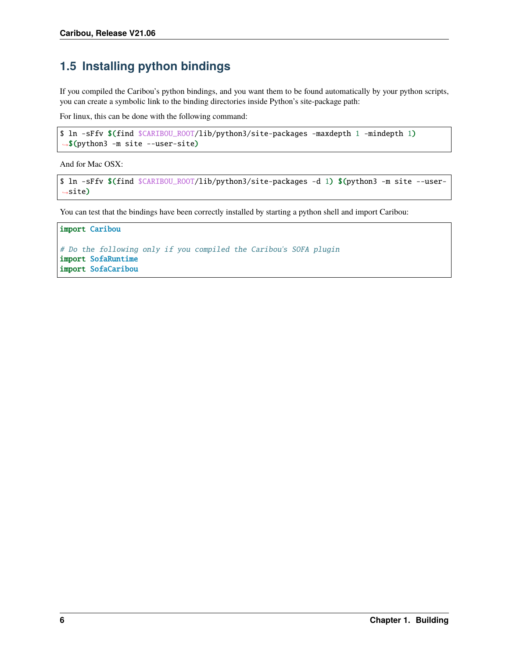# <span id="page-9-0"></span>**1.5 Installing python bindings**

If you compiled the Caribou's python bindings, and you want them to be found automatically by your python scripts, you can create a symbolic link to the binding directories inside Python's site-package path:

For linux, this can be done with the following command:

```
$ ln -sFfv $(find $CARIBOU_ROOT/lib/python3/site-packages -maxdepth 1 -mindepth 1)
˓→$(python3 -m site --user-site)
```
And for Mac OSX:

```
$ ln -sFfv $(find $CARIBOU_ROOT/lib/python3/site-packages -d 1) $(python3 -m site --user-
˓→site)
```
You can test that the bindings have been correctly installed by starting a python shell and import Caribou:

#### import Caribou

```
# Do the following only if you compiled the Caribou's SOFA plugin
import SofaRuntime
import SofaCaribou
```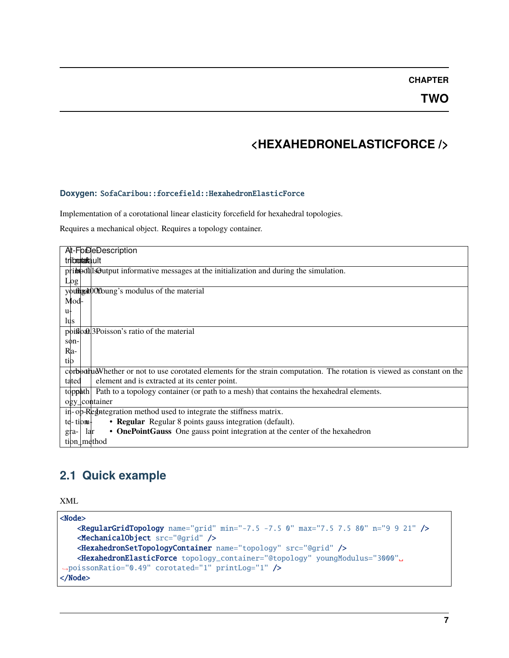# **<HEXAHEDRONELASTICFORCE />**

#### <span id="page-10-0"></span>**Doxygen:** SofaCaribou::forcefield::HexahedronElasticForce

Implementation of a corotational linear elasticity forcefield for hexahedral topologies.

Requires a mechanical object. Requires a topology container.

| At-FoDeDescription                                                                                                       |
|--------------------------------------------------------------------------------------------------------------------------|
| triboortaala ult                                                                                                         |
| primodals Output informative messages at the initialization and during the simulation.                                   |
| Log                                                                                                                      |
| youtherned youthing is modulus of the material                                                                           |
| Mod-                                                                                                                     |
| u <sub>t</sub>                                                                                                           |
| lus                                                                                                                      |
| poison's ratio of the material                                                                                           |
| son-                                                                                                                     |
| Ra-                                                                                                                      |
| tib                                                                                                                      |
| corbothud Whether or not to use corotated elements for the strain computation. The rotation is viewed as constant on the |
| element and is extracted at its center point.<br>tated                                                                   |
| Path to a topology container (or path to a mesh) that contains the hexahedral elements.<br>topphth                       |
| ogy_container                                                                                                            |
| in-op-Regneteration method used to integrate the stiffness matrix.                                                       |
| • Regular Regular 8 points gauss integration (default).<br>$te$ -tionu-                                                  |
| • OnePointGauss One gauss point integration at the center of the hexahedron<br>lar<br>gra-                               |
| tion⊥method                                                                                                              |

## <span id="page-10-1"></span>**2.1 Quick example**

XML

```
<Node>
   <RegularGridTopology name="grid" min="-7.5 -7.5 0" max="7.5 7.5 80" n="9 9 21" />
   <MechanicalObject src="@grid" />
   <HexahedronSetTopologyContainer name="topology" src="@grid" />
   <HexahedronElasticForce topology_container="@topology" youngModulus="3000"␣
˓→poissonRatio="0.49" corotated="1" printLog="1" />
</Node>
```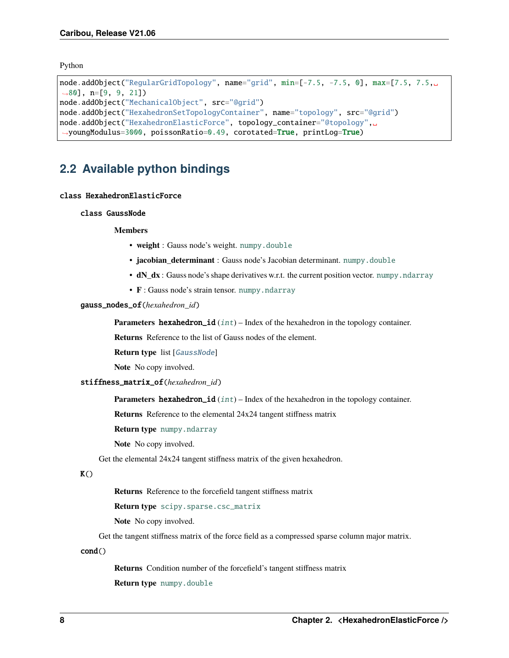<span id="page-11-2"></span>Python

```
node.addObject("RegularGridTopology", name="grid", min=[-7.5, -7.5, 0], max=[7.5, 7.5,.
˓→80], n=[9, 9, 21])
node.addObject("MechanicalObject", src="@grid")
node.addObject("HexahedronSetTopologyContainer", name="topology", src="@grid")
node.addObject("HexahedronElasticForce", topology_container="@topology",␣
˓→youngModulus=3000, poissonRatio=0.49, corotated=True, printLog=True)
```
## <span id="page-11-0"></span>**2.2 Available python bindings**

#### <span id="page-11-1"></span>class HexahedronElasticForce

class GaussNode

#### **Members**

- **weight** : Gauss node's weight. [numpy.double](https://numpy.org/doc/stable/reference/arrays.scalars.html#numpy.double)
- **jacobian\_determinant** : Gauss node's Jacobian determinant. [numpy.double](https://numpy.org/doc/stable/reference/arrays.scalars.html#numpy.double)
- $dN_dx$  : Gauss node's shape derivatives w.r.t. the current position vector. [numpy.ndarray](https://numpy.org/doc/stable/reference/generated/numpy.ndarray.html#numpy.ndarray)
- **F** : Gauss node's strain tensor. [numpy.ndarray](https://numpy.org/doc/stable/reference/generated/numpy.ndarray.html#numpy.ndarray)

#### gauss\_nodes\_of(*hexahedron\_id*)

**Parameters hexahedron\_id** ( $int$ ) – Index of the hexahedron in the topology container.

**Returns** Reference to the list of Gauss nodes of the element.

**Return type** list [[GaussNode](#page-11-1)]

**Note** No copy involved.

#### stiffness\_matrix\_of(*hexahedron\_id*)

**Parameters hexahedron\_id** ([int](https://docs.python.org/3/library/functions.html#int)) – Index of the hexahedron in the topology container.

**Returns** Reference to the elemental 24x24 tangent stiffness matrix

**Return type** [numpy.ndarray](https://numpy.org/doc/stable/reference/generated/numpy.ndarray.html#numpy.ndarray)

**Note** No copy involved.

Get the elemental 24x24 tangent stiffness matrix of the given hexahedron.

#### $K()$

**Returns** Reference to the forcefield tangent stiffness matrix

**Return type** [scipy.sparse.csc\\_matrix](https://docs.scipy.org/doc/scipy/reference/generated/scipy.sparse.csc_matrix.html#scipy.sparse.csc_matrix)

**Note** No copy involved.

Get the tangent stiffness matrix of the force field as a compressed sparse column major matrix.

 $cond()$ 

**Returns** Condition number of the forcefield's tangent stiffness matrix

**Return type** [numpy.double](https://numpy.org/doc/stable/reference/arrays.scalars.html#numpy.double)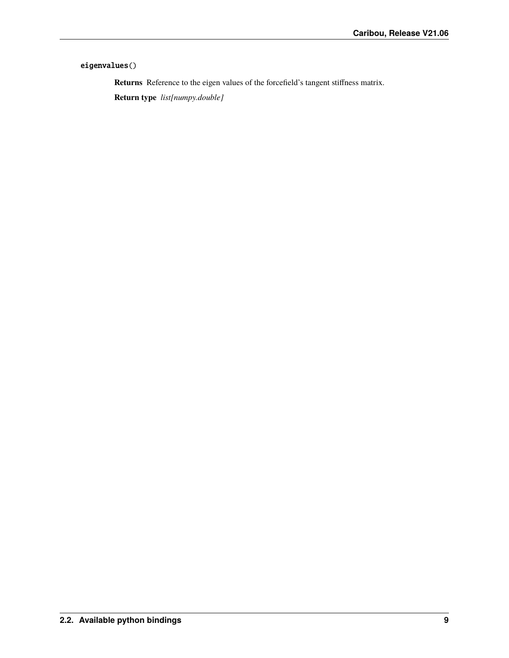#### eigenvalues()

**Returns** Reference to the eigen values of the forcefield's tangent stiffness matrix.

**Return type** *list[numpy.double]*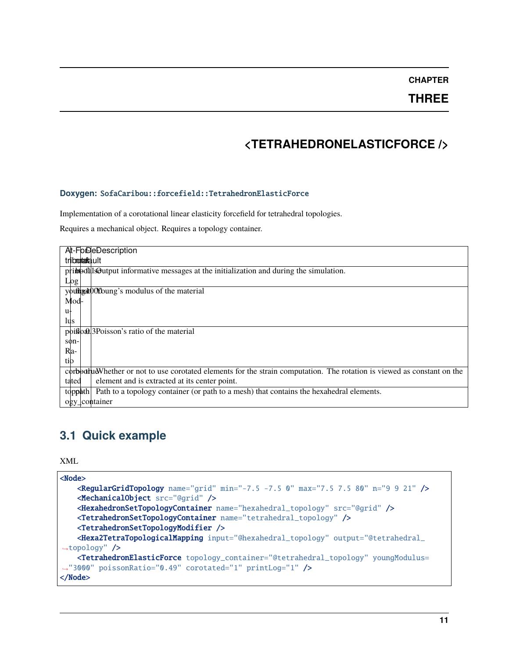**THREE**

# **<TETRAHEDRONELASTICFORCE />**

#### <span id="page-14-0"></span>**Doxygen:** SofaCaribou::forcefield::TetrahedronElasticForce

Implementation of a corotational linear elasticity forcefield for tetrahedral topologies.

Requires a mechanical object. Requires a topology container.

| At-FoDeDescription                                                                                                     |
|------------------------------------------------------------------------------------------------------------------------|
| triboortaafa.ult                                                                                                       |
| pribeotals output informative messages at the initialization and during the simulation.                                |
| Log                                                                                                                    |
| youffred to O'O'oung's modulus of the material                                                                         |
| Mod-                                                                                                                   |
| u+                                                                                                                     |
| lus                                                                                                                    |
| poison's ratio of the material                                                                                         |
| son-                                                                                                                   |
| Ra-                                                                                                                    |
| tib                                                                                                                    |
| corbedluMhether or not to use corotated elements for the strain computation. The rotation is viewed as constant on the |
| element and is extracted at its center point.<br>tated                                                                 |
| Path to a topology container (or path to a mesh) that contains the hexahedral elements.<br>topphth                     |
| ogy_container                                                                                                          |
|                                                                                                                        |

### <span id="page-14-1"></span>**3.1 Quick example**

XML

```
<Node>
   <RegularGridTopology name="grid" min="-7.5 -7.5 0" max="7.5 7.5 80" n="9 9 21" />
   <MechanicalObject src="@grid" />
   <HexahedronSetTopologyContainer name="hexahedral_topology" src="@grid" />
   <TetrahedronSetTopologyContainer name="tetrahedral_topology" />
   <TetrahedronSetTopologyModifier />
   <Hexa2TetraTopologicalMapping input="@hexahedral_topology" output="@tetrahedral_
˓→topology" />
   <TetrahedronElasticForce topology_container="@tetrahedral_topology" youngModulus=
˓→"3000" poissonRatio="0.49" corotated="1" printLog="1" />
</Node>
```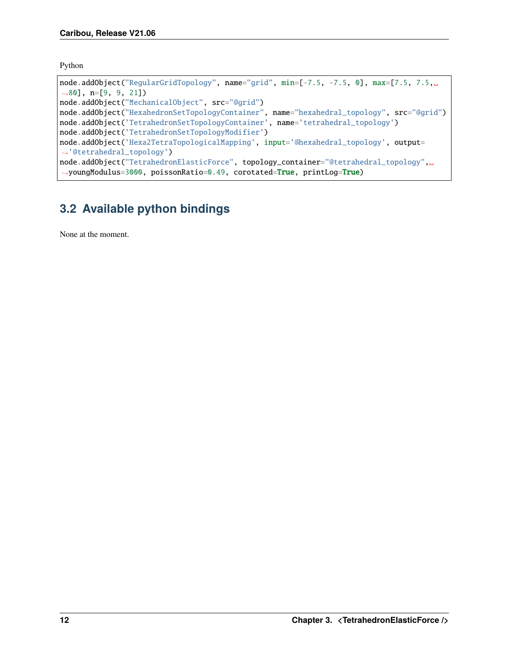Python

```
node.addObject("RegularGridTopology", name="grid", min=[-7.5, -7.5, 0], max=[7.5, 7.5,.
˓→80], n=[9, 9, 21])
node.addObject("MechanicalObject", src="@grid")
node.addObject("HexahedronSetTopologyContainer", name="hexahedral_topology", src="@grid")
node.addObject('TetrahedronSetTopologyContainer', name='tetrahedral_topology')
node.addObject('TetrahedronSetTopologyModifier')
node.addObject('Hexa2TetraTopologicalMapping', input='@hexahedral_topology', output=
˓→'@tetrahedral_topology')
node.addObject("TetrahedronElasticForce", topology_container="@tetrahedral_topology",␣
˓→youngModulus=3000, poissonRatio=0.49, corotated=True, printLog=True)
```
# <span id="page-15-0"></span>**3.2 Available python bindings**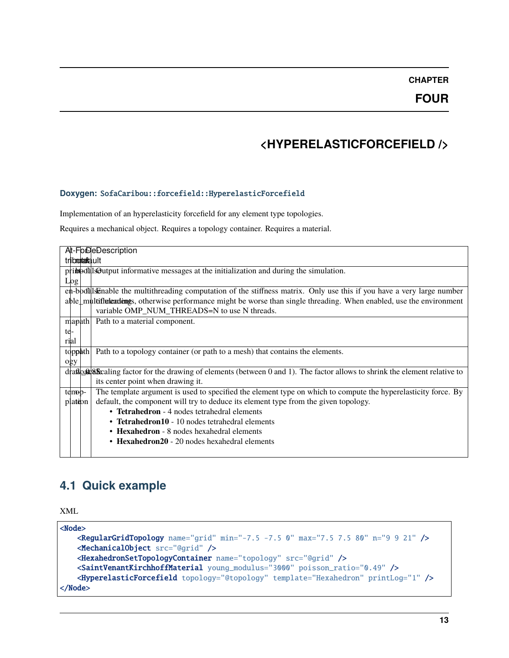# **<HYPERELASTICFORCEFIELD />**

#### <span id="page-16-0"></span>**Doxygen:** SofaCaribou::forcefield::HyperelasticForcefield

Implementation of an hyperelasticity forcefield for any element type topologies.

Requires a mechanical object. Requires a topology container. Requires a material.

| At-FolDeDescription                                                                                                                  |  |  |  |
|--------------------------------------------------------------------------------------------------------------------------------------|--|--|--|
| triboontaafa.ult                                                                                                                     |  |  |  |
| pribibilis of but put informative messages at the initialization and during the simulation.                                          |  |  |  |
| Log                                                                                                                                  |  |  |  |
| en-boddlsEnable the multithreading computation of the stiffness matrix. Only use this if you have a very large number                |  |  |  |
| able multitlule and the set of mergers of multiple when the worse than single threading. When enabled, use the environment           |  |  |  |
| variable OMP NUM THREADS=N to use N threads.                                                                                         |  |  |  |
| mapath<br>Path to a material component.                                                                                              |  |  |  |
| te-                                                                                                                                  |  |  |  |
| rial                                                                                                                                 |  |  |  |
| Path to a topology container (or path to a mesh) that contains the elements.<br>topphth                                              |  |  |  |
| ogy                                                                                                                                  |  |  |  |
| draft as a shrink the element relative to drawing of elements (between 0 and 1). The factor allows to shrink the element relative to |  |  |  |
| its center point when drawing it.                                                                                                    |  |  |  |
| The template argument is used to specified the element type on which to compute the hyperelasticity force. By<br>temp-               |  |  |  |
| default, the component will try to deduce its element type from the given topology.<br>plation                                       |  |  |  |
| • Tetrahedron - 4 nodes tetrahedral elements                                                                                         |  |  |  |
| • Tetrahedron10 - 10 nodes tetrahedral elements                                                                                      |  |  |  |
| • Hexahedron - 8 nodes hexahedral elements                                                                                           |  |  |  |
| • Hexahedron20 - 20 nodes hexahedral elements                                                                                        |  |  |  |
|                                                                                                                                      |  |  |  |

# <span id="page-16-1"></span>**4.1 Quick example**

XML

```
<Node>
   <RegularGridTopology name="grid" min="-7.5 -7.5 0" max="7.5 7.5 80" n="9 9 21" />
   <MechanicalObject src="@grid" />
   <HexahedronSetTopologyContainer name="topology" src="@grid" />
   <SaintVenantKirchhoffMaterial young_modulus="3000" poisson_ratio="0.49" />
   <HyperelasticForcefield topology="@topology" template="Hexahedron" printLog="1" />
</Node>
```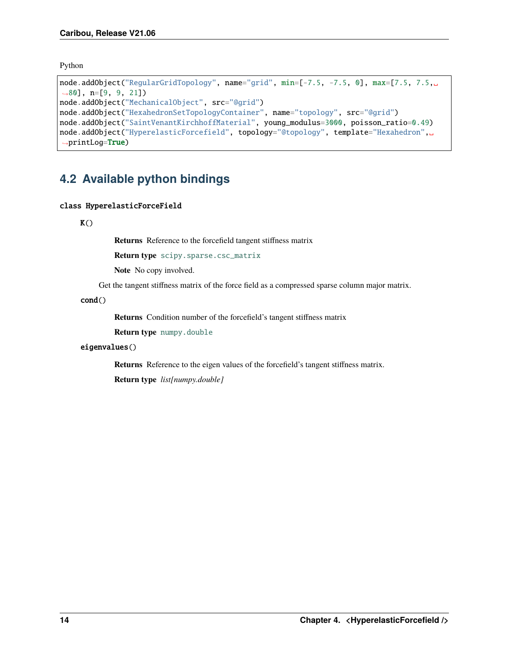<span id="page-17-1"></span>Python

```
node.addObject("RegularGridTopology", name="grid", min=[-7.5, -7.5, 0], max=[7.5, 7.5,.
˓→80], n=[9, 9, 21])
node.addObject("MechanicalObject", src="@grid")
node.addObject("HexahedronSetTopologyContainer", name="topology", src="@grid")
node.addObject("SaintVenantKirchhoffMaterial", young_modulus=3000, poisson_ratio=0.49)
node.addObject("HyperelasticForcefield", topology="@topology", template="Hexahedron",␣
→printLog=True)
```
## <span id="page-17-0"></span>**4.2 Available python bindings**

#### class HyperelasticForceField

 $K()$ 

**Returns** Reference to the forcefield tangent stiffness matrix

**Return type** [scipy.sparse.csc\\_matrix](https://docs.scipy.org/doc/scipy/reference/generated/scipy.sparse.csc_matrix.html#scipy.sparse.csc_matrix)

**Note** No copy involved.

Get the tangent stiffness matrix of the force field as a compressed sparse column major matrix.

cond()

**Returns** Condition number of the forcefield's tangent stiffness matrix

**Return type** [numpy.double](https://numpy.org/doc/stable/reference/arrays.scalars.html#numpy.double)

#### eigenvalues()

**Returns** Reference to the eigen values of the forcefield's tangent stiffness matrix. **Return type** *list[numpy.double]*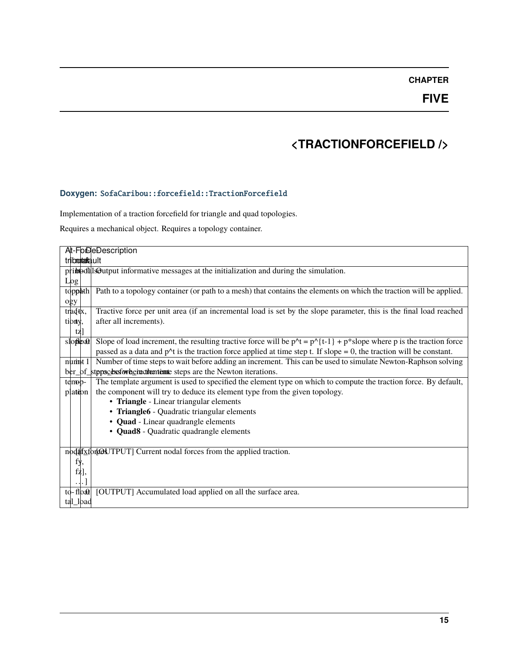**FIVE**

# **<TRACTIONFORCEFIELD />**

### <span id="page-18-0"></span>**Doxygen:** SofaCaribou::forcefield::TractionForcefield

Implementation of a traction forcefield for triangle and quad topologies.

Requires a mechanical object. Requires a topology container.

|                      | At-FoDeDescription                                                                                                                         |  |  |
|----------------------|--------------------------------------------------------------------------------------------------------------------------------------------|--|--|
| triboontaafa.ult     |                                                                                                                                            |  |  |
|                      | pribed is output informative messages at the initialization and during the simulation.                                                     |  |  |
| Log                  |                                                                                                                                            |  |  |
| toppath              | Path to a topology container (or path to a mesh) that contains the elements on which the traction will be applied.                         |  |  |
| ogy                  |                                                                                                                                            |  |  |
| trad <sub>tx</sub> , | Tractive force per unit area (if an incremental load is set by the slope parameter, this is the final load reached                         |  |  |
| tiony,               | after all increments).                                                                                                                     |  |  |
| tz]                  |                                                                                                                                            |  |  |
| sloped               | Slope of load increment, the resulting tractive force will be $p^{\wedge}t = p^{\wedge} \{t-1\} + p^*$ slope where p is the traction force |  |  |
|                      | passed as a data and $p^{\text{A}}$ is the traction force applied at time step t. If slope = 0, the traction will be constant.             |  |  |
| numt 1               | Number of time steps to wait before adding an increment. This can be used to simulate Newton-Raphson solving                               |  |  |
|                      | ber_of_stppsclessforheinschementente steps are the Newton iterations.                                                                      |  |  |
| temp-                | The template argument is used to specified the element type on which to compute the traction force. By default,                            |  |  |
| plation              | the component will try to deduce its element type from the given topology.                                                                 |  |  |
|                      | • Triangle - Linear triangular elements                                                                                                    |  |  |
|                      | • Triangle6 - Quadratic triangular elements                                                                                                |  |  |
|                      | • Quad - Linear quadrangle elements                                                                                                        |  |  |
|                      | • Quad8 - Quadratic quadrangle elements                                                                                                    |  |  |
|                      |                                                                                                                                            |  |  |
|                      | nodal forces from the applied traction.                                                                                                    |  |  |
| fy,                  |                                                                                                                                            |  |  |
| $\tilde{fz}$ ],      |                                                                                                                                            |  |  |
| $\ldots$             |                                                                                                                                            |  |  |
| $\text{to-flob}$     | [OUTPUT] Accumulated load applied on all the surface area.                                                                                 |  |  |
| tal_load             |                                                                                                                                            |  |  |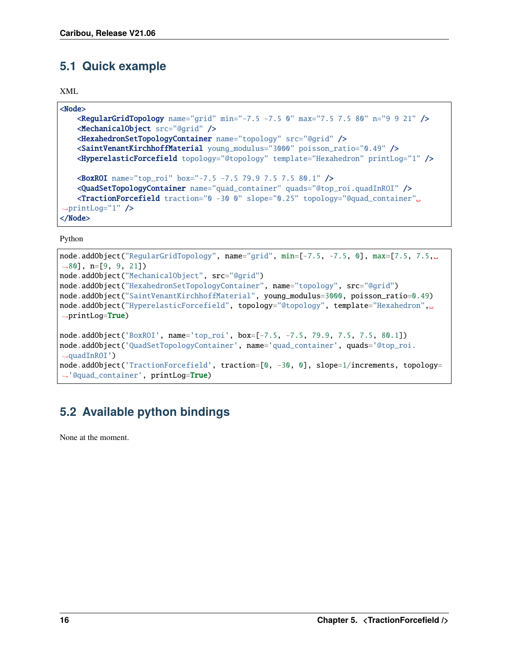## <span id="page-19-0"></span>**5.1 Quick example**

```
XML
```

```
<Node>
   <RegularGridTopology name="grid" min="-7.5 -7.5 0" max="7.5 7.5 80" n="9 9 21" />
   <MechanicalObject src="@grid" />
   <HexahedronSetTopologyContainer name="topology" src="@grid" />
   <SaintVenantKirchhoffMaterial young_modulus="3000" poisson_ratio="0.49" />
   <HyperelasticForcefield topology="@topology" template="Hexahedron" printLog="1" />
   <BoxROI name="top_roi" box="-7.5 -7.5 79.9 7.5 7.5 80.1" />
   <QuadSetTopologyContainer name="quad_container" quads="@top_roi.quadInROI" />
   <TractionForcefield traction="0 -30 0" slope="0.25" topology="@quad_container"␣
\rightarrowprintLog="1" />
</Node>
```
Python

```
node.addObject("RegularGridTopology", name="grid", min=[-7.5, -7.5, 0], max=[7.5, 7.5,␣
\rightarrow 80], n=[9, 9, 21])
node.addObject("MechanicalObject", src="@grid")
node.addObject("HexahedronSetTopologyContainer", name="topology", src="@grid")
node.addObject("SaintVenantKirchhoffMaterial", young_modulus=3000, poisson_ratio=0.49)
node.addObject("HyperelasticForcefield", topology="@topology", template="Hexahedron",␣
→printLog=True)
node.addObject('BoxROI', name='top_roi', box=[-7.5, -7.5, 79.9, 7.5, 7.5, 80.1])
node.addObject('QuadSetTopologyContainer', name='quad_container', quads='@top_roi.
\rightarrowquadInROI')
node.addObject('TractionForcefield', traction=[0, -30, 0], slope=1/increments, topology=
˓→'@quad_container', printLog=True)
```
# <span id="page-19-1"></span>**5.2 Available python bindings**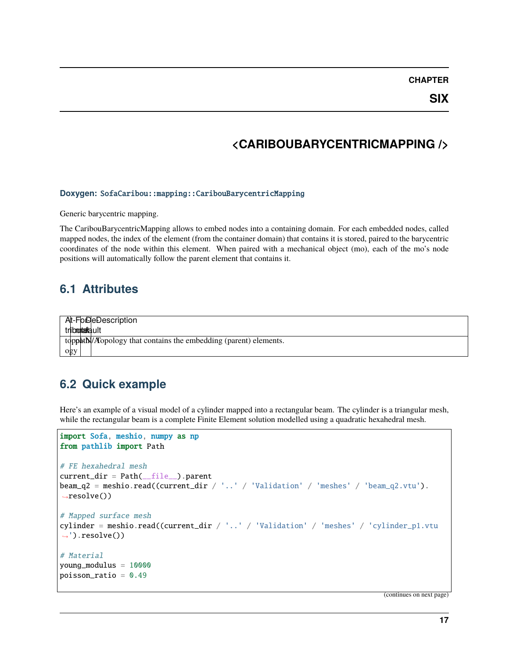**SIX**

## **<CARIBOUBARYCENTRICMAPPING />**

#### <span id="page-20-0"></span>**Doxygen:** SofaCaribou::mapping::CaribouBarycentricMapping

Generic barycentric mapping.

The CaribouBarycentricMapping allows to embed nodes into a containing domain. For each embedded nodes, called mapped nodes, the index of the element (from the container domain) that contains it is stored, paired to the barycentric coordinates of the node within this element. When paired with a mechanical object (mo), each of the mo's node positions will automatically follow the parent element that contains it.

### <span id="page-20-1"></span>**6.1 Attributes**

At-FoDeDescription tribmontaafa.ult topphtN/ATopology that contains the embedding (parent) elements. ogy

### <span id="page-20-2"></span>**6.2 Quick example**

Here's an example of a visual model of a cylinder mapped into a rectangular beam. The cylinder is a triangular mesh, while the rectangular beam is a complete Finite Element solution modelled using a quadratic hexahedral mesh.

```
import Sofa, meshio, numpy as np
from pathlib import Path
# FE hexahedral mesh
current\_dir = Path(\_file\_) .parentbeam_q2 = meshio.read((current\_dir / '..' / 'Validation' / 'meshes' / 'beam_q2.vtu').\rightarrowresolve())
# Mapped surface mesh
cylinder = meshio.read((current_dir / '..' / 'Validation' / 'meshes' / 'cylinder_p1.vtu
\rightarrow').resolve())
# Material
young_modulus = 10000
poisson_ratio = 0.49
```
(continues on next page)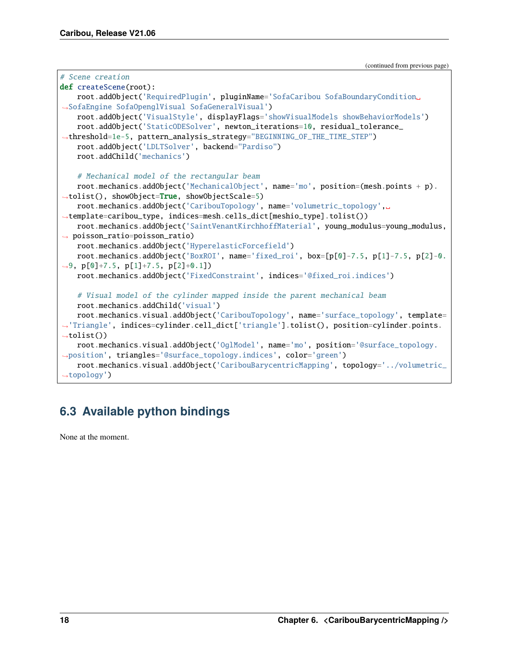(continued from previous page)

```
# Scene creation
def createScene(root):
   root.addObject('RequiredPlugin', pluginName='SofaCaribou SofaBoundaryCondition␣
˓→SofaEngine SofaOpenglVisual SofaGeneralVisual')
    root.addObject('VisualStyle', displayFlags='showVisualModels showBehaviorModels')
    root.addObject('StaticODESolver', newton_iterations=10, residual_tolerance_
˓→threshold=1e-5, pattern_analysis_strategy="BEGINNING_OF_THE_TIME_STEP")
   root.addObject('LDLTSolver', backend="Pardiso")
   root.addChild('mechanics')
    # Mechanical model of the rectangular beam
   root.mechanics.addObject('MechanicalObject', name='mo', position=(mesh.points + p).
˓→tolist(), showObject=True, showObjectScale=5)
    root.mechanics.addObject('CaribouTopology', name='volumetric_topology',␣
˓→template=caribou_type, indices=mesh.cells_dict[meshio_type].tolist())
   root.mechanics.addObject('SaintVenantKirchhoffMaterial', young_modulus=young_modulus,
˓→ poisson_ratio=poisson_ratio)
   root.mechanics.addObject('HyperelasticForcefield')
   root.mechanics.addObject('BoxROI', name='fixed_roi', box=[p[0]-7.5, p[1]-7.5, p[2]-0.
˓→9, p[0]+7.5, p[1]+7.5, p[2]+0.1])
   root.mechanics.addObject('FixedConstraint', indices='@fixed_roi.indices')
    # Visual model of the cylinder mapped inside the parent mechanical beam
   root.mechanics.addChild('visual')
   root.mechanics.visual.addObject('CaribouTopology', name='surface_topology', template=
˓→'Triangle', indices=cylinder.cell_dict['triangle'].tolist(), position=cylinder.points.
\rightarrowtolist())
   root.mechanics.visual.addObject('OglModel', name='mo', position='@surface_topology.
˓→position', triangles='@surface_topology.indices', color='green')
   root.mechanics.visual.addObject('CaribouBarycentricMapping', topology='../volumetric_
˓→topology')
```
# <span id="page-21-0"></span>**6.3 Available python bindings**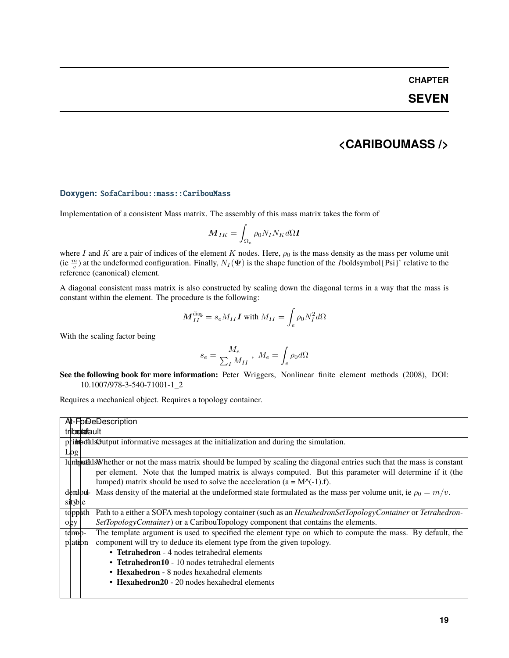### **SEVEN**

### **<CARIBOUMASS />**

#### <span id="page-22-0"></span>**Doxygen:** SofaCaribou::mass::CaribouMass

Implementation of a consistent Mass matrix. The assembly of this mass matrix takes the form of

$$
\boldsymbol{M}_{IK} = \int_{\Omega_e} \rho_0 N_I N_K d\Omega \boldsymbol{I}
$$

where I and K are a pair of indices of the element K nodes. Here,  $\rho_0$  is the mass density as the mass per volume unit (ie  $\frac{m}{v}$ ) at the undeformed configuration. Finally,  $N_I(\Psi)$  is the shape function of the *I*boldsymbol{Psi}` relative to the reference (canonical) element.

A diagonal consistent mass matrix is also constructed by scaling down the diagonal terms in a way that the mass is constant within the element. The procedure is the following:

$$
\boldsymbol{M}_{II}^{\text{diag}}=s_e M_{II}\boldsymbol{I} \text{ with } M_{II}=\int_e \rho_0 N_I^2 d\Omega
$$

With the scaling factor being

$$
s_e = \frac{M_e}{\sum_I M_{II}} , \ M_e = \int_e \rho_0 d\Omega
$$

**See the following book for more information:** Peter Wriggers, Nonlinear finite element methods (2008), DOI: 10.1007/978-3-540-71001-1\_2

Requires a mechanical object. Requires a topology container.

| At-ForDeDescription                                                                                                                  |
|--------------------------------------------------------------------------------------------------------------------------------------|
| triboortaala ult                                                                                                                     |
| pribeotal Soutput informative messages at the initialization and during the simulation.                                              |
| Log                                                                                                                                  |
| lumped lsWhether or not the mass matrix should be lumped by scaling the diagonal entries such that the mass is constant              |
| per element. Note that the lumped matrix is always computed. But this parameter will determine if it (the                            |
| lumped) matrix should be used to solve the acceleration ( $a = M^{-1}(1)$ .f).                                                       |
| Mass density of the material at the undeformed state formulated as the mass per volume unit, ie $\rho_0 = m/v$ .<br>dendoul-         |
| sityble                                                                                                                              |
| Path to a either a SOFA mesh topology container (such as an <i>HexahedronSetTopologyContainer</i> or <i>Tetrahedron</i> -<br>topphth |
| SetTopologyContainer) or a CaribouTopology component that contains the elements.<br>$\log y$                                         |
| The template argument is used to specified the element type on which to compute the mass. By default, the<br>temp-                   |
| component will try to deduce its element type from the given topology.<br>plation                                                    |
| • Tetrahedron - 4 nodes tetrahedral elements                                                                                         |
| • Tetrahedron10 - 10 nodes tetrahedral elements                                                                                      |
| • Hexahedron - 8 nodes hexahedral elements                                                                                           |
| • Hexahedron $20 - 20$ nodes hexahedral elements                                                                                     |
|                                                                                                                                      |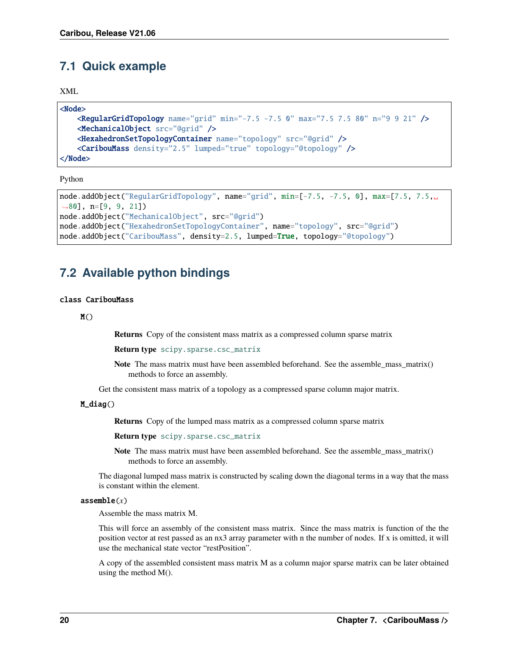### <span id="page-23-2"></span><span id="page-23-0"></span>**7.1 Quick example**

XML

```
<Node>
   <RegularGridTopology name="grid" min="-7.5 -7.5 0" max="7.5 7.5 80" n="9 9 21" />
   <MechanicalObject src="@grid" />
   <HexahedronSetTopologyContainer name="topology" src="@grid" />
    <CaribouMass density="2.5" lumped="true" topology="@topology" />
</Node>
```
Python

```
node.addObject("RegularGridTopology", name="grid", min=[-7.5, -7.5, 0], max=[7.5, 7.5,␣
\rightarrow 80], n=[9, 9, 21])
node.addObject("MechanicalObject", src="@grid")
node.addObject("HexahedronSetTopologyContainer", name="topology", src="@grid")
node.addObject("CaribouMass", density=2.5, lumped=True, topology="@topology")
```
### <span id="page-23-1"></span>**7.2 Available python bindings**

#### class CaribouMass

 $M()$ 

**Returns** Copy of the consistent mass matrix as a compressed column sparse matrix

**Return type** [scipy.sparse.csc\\_matrix](https://docs.scipy.org/doc/scipy/reference/generated/scipy.sparse.csc_matrix.html#scipy.sparse.csc_matrix)

Note The mass matrix must have been assembled beforehand. See the assemble\_mass\_matrix() methods to force an assembly.

Get the consistent mass matrix of a topology as a compressed sparse column major matrix.

M\_diag()

**Returns** Copy of the lumped mass matrix as a compressed column sparse matrix

**Return type** [scipy.sparse.csc\\_matrix](https://docs.scipy.org/doc/scipy/reference/generated/scipy.sparse.csc_matrix.html#scipy.sparse.csc_matrix)

**Note** The mass matrix must have been assembled beforehand. See the assemble\_mass\_matrix() methods to force an assembly.

The diagonal lumped mass matrix is constructed by scaling down the diagonal terms in a way that the mass is constant within the element.

#### assemble(*x*)

Assemble the mass matrix M.

This will force an assembly of the consistent mass matrix. Since the mass matrix is function of the the position vector at rest passed as an nx3 array parameter with n the number of nodes. If x is omitted, it will use the mechanical state vector "restPosition".

A copy of the assembled consistent mass matrix M as a column major sparse matrix can be later obtained using the method M().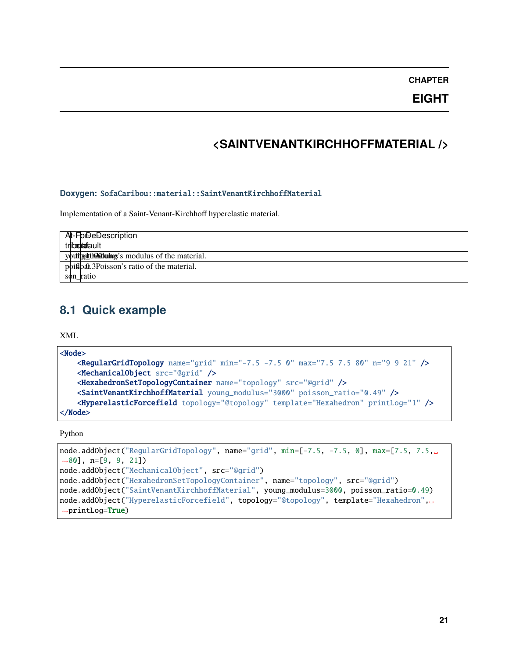**EIGHT**

## **<SAINTVENANTKIRCHHOFFMATERIAL />**

#### <span id="page-24-0"></span>**Doxygen:** SofaCaribou::material::SaintVenantKirchhoffMaterial

Implementation of a Saint-Venant-Kirchhoff hyperelastic material.

| At-ForDeDescription                    |
|----------------------------------------|
| tributatault                           |
| youther the Motolouke of the material. |
| poison's ratio of the material.        |
| son_ratio                              |

### <span id="page-24-1"></span>**8.1 Quick example**

XML

```
<Node>
   <RegularGridTopology name="grid" min="-7.5 -7.5 0" max="7.5 7.5 80" n="9 9 21" />
   <MechanicalObject src="@grid" />
   <HexahedronSetTopologyContainer name="topology" src="@grid" />
   <SaintVenantKirchhoffMaterial young_modulus="3000" poisson_ratio="0.49" />
    <HyperelasticForcefield topology="@topology" template="Hexahedron" printLog="1" />
</Node>
```
Python

```
node.addObject("RegularGridTopology", name="grid", min=[-7.5, -7.5, 0], max=[7.5, 7.5,\Box˓→80], n=[9, 9, 21])
node.addObject("MechanicalObject", src="@grid")
node.addObject("HexahedronSetTopologyContainer", name="topology", src="@grid")
node.addObject("SaintVenantKirchhoffMaterial", young_modulus=3000, poisson_ratio=0.49)
node.addObject("HyperelasticForcefield", topology="@topology", template="Hexahedron",␣
˓→printLog=True)
```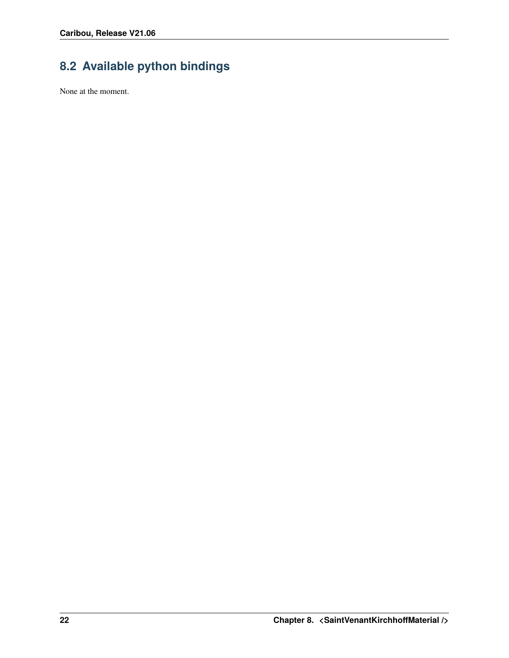# <span id="page-25-0"></span>**8.2 Available python bindings**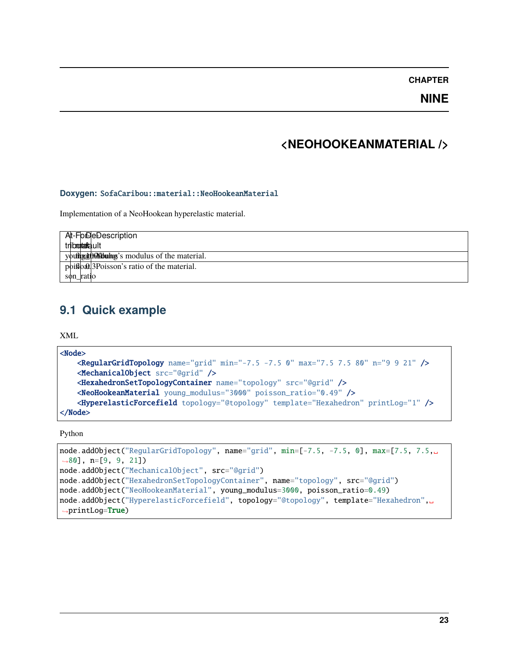**NINE**

## **<NEOHOOKEANMATERIAL />**

#### <span id="page-26-0"></span>**Doxygen:** SofaCaribou::material::NeoHookeanMaterial

Implementation of a NeoHookean hyperelastic material.

| At-ForDeDescription                         |
|---------------------------------------------|
| tribontafalult                              |
| youthouthouthing's modulus of the material. |
| point of the material.                      |
| son_ratio                                   |

### <span id="page-26-1"></span>**9.1 Quick example**

XML

```
<Node>
   <RegularGridTopology name="grid" min="-7.5 -7.5 0" max="7.5 7.5 80" n="9 9 21" />
   <MechanicalObject src="@grid" />
   <HexahedronSetTopologyContainer name="topology" src="@grid" />
   <NeoHookeanMaterial young_modulus="3000" poisson_ratio="0.49" />
    <HyperelasticForcefield topology="@topology" template="Hexahedron" printLog="1" />
</Node>
```
Python

```
node.addObject("RegularGridTopology", name="grid", min=[-7.5, -7.5, 0], max=[7.5, 7.5,\Box˓→80], n=[9, 9, 21])
node.addObject("MechanicalObject", src="@grid")
node.addObject("HexahedronSetTopologyContainer", name="topology", src="@grid")
node.addObject("NeoHookeanMaterial", young_modulus=3000, poisson_ratio=0.49)
node.addObject("HyperelasticForcefield", topology="@topology", template="Hexahedron",␣
˓→printLog=True)
```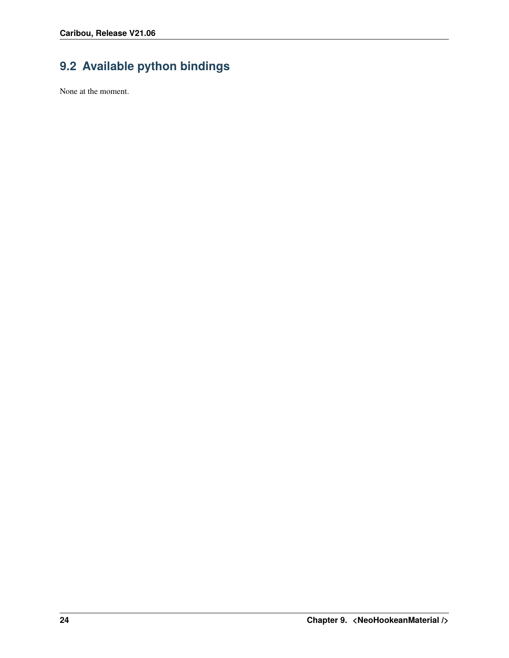# <span id="page-27-0"></span>**9.2 Available python bindings**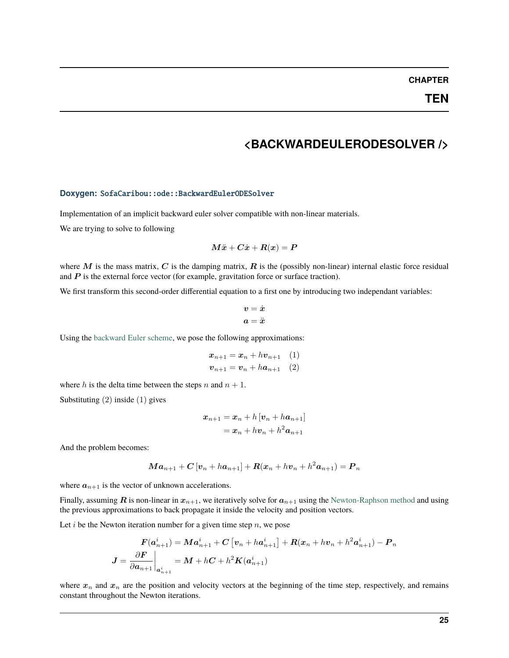### **<BACKWARDEULERODESOLVER />**

#### <span id="page-28-0"></span>**Doxygen:** SofaCaribou::ode::BackwardEulerODESolver

Implementation of an implicit backward euler solver compatible with non-linear materials.

We are trying to solve to following

$$
M\ddot{\boldsymbol{x}}+C\dot{\boldsymbol{x}}+R(\boldsymbol{x})=\boldsymbol{P}
$$

where M is the mass matrix, C is the damping matrix,  $\bf{R}$  is the (possibly non-linear) internal elastic force residual and  $P$  is the external force vector (for example, gravitation force or surface traction).

We first transform this second-order differential equation to a first one by introducing two independant variables:

$$
\begin{aligned} \boldsymbol{v} &= \dot{\boldsymbol{x}} \\ \boldsymbol{a} &= \ddot{\boldsymbol{x}} \end{aligned}
$$

Using the [backward Euler scheme,](https://en.wikipedia.org/wiki/Backward_Euler_method) we pose the following approximations:

$$
\begin{aligned} \boldsymbol{x}_{n+1} &= \boldsymbol{x}_n + h \boldsymbol{v}_{n+1} \quad (1) \\ \boldsymbol{v}_{n+1} &= \boldsymbol{v}_n + h \boldsymbol{a}_{n+1} \quad (2) \end{aligned}
$$

where  $h$  is the delta time between the steps  $n$  and  $n + 1$ .

Substituting (2) inside (1) gives

$$
\begin{aligned} \boldsymbol{x}_{n+1} &= \boldsymbol{x}_n + h\left[\boldsymbol{v}_n + h\boldsymbol{a}_{n+1}\right] \\ &= \boldsymbol{x}_n + h\boldsymbol{v}_n + h^2\boldsymbol{a}_{n+1} \end{aligned}
$$

And the problem becomes:

$$
\boldsymbol{M}\boldsymbol{a}_{n+1}+\boldsymbol{C}\left[\boldsymbol{v}_{n}+h\boldsymbol{a}_{n+1}\right]+\boldsymbol{R}(\boldsymbol{x}_{n}+h\boldsymbol{v}_{n}+h^2\boldsymbol{a}_{n+1})=\boldsymbol{P}_n
$$

where  $a_{n+1}$  is the vector of unknown accelerations.

Finally, assuming **R** is non-linear in  $x_{n+1}$ , we iteratively solve for  $a_{n+1}$  using the [Newton-Raphson method](https://en.wikipedia.org/wiki/Newton) and using the previous approximations to back propagate it inside the velocity and position vectors.

Let  $i$  be the Newton iteration number for a given time step  $n$ , we pose

$$
\boldsymbol{F}(\boldsymbol{a}_{n+1}^i)=\boldsymbol{M}\boldsymbol{a}_{n+1}^i+\boldsymbol{C}\left[\boldsymbol{v}_n+h\boldsymbol{a}_{n+1}^i\right]+\boldsymbol{R}(\boldsymbol{x}_n+h\boldsymbol{v}_n+h^2\boldsymbol{a}_{n+1}^i)-\boldsymbol{P}_n \\\boldsymbol{J}=\frac{\partial \boldsymbol{F}}{\partial \boldsymbol{a}_{n+1}}\bigg|_{\boldsymbol{a}_{n+1}^i}=\boldsymbol{M}+h\boldsymbol{C}+h^2\boldsymbol{K}(\boldsymbol{a}_{n+1}^i)
$$

where  $x_n$  and  $x_n$  are the position and velocity vectors at the beginning of the time step, respectively, and remains constant throughout the Newton iterations.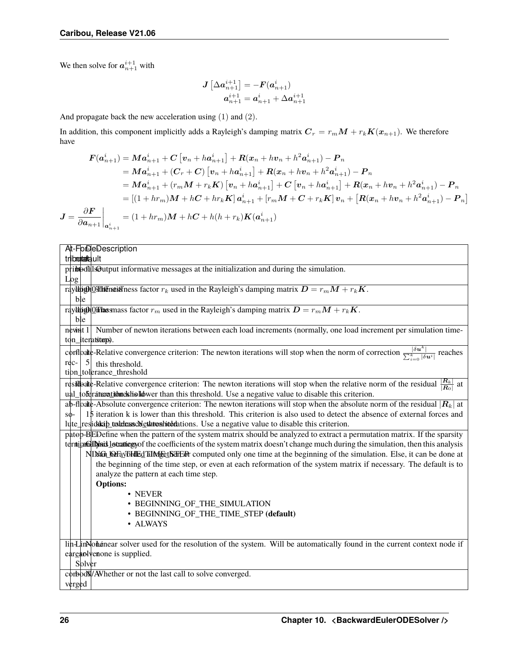We then solve for  $a_{n+1}^{i+1}$  with

 $\boldsymbol{J}$ 

$$
\bm{J}\left[\Delta \bm{a}_{n+1}^{i+1}\right]=-\bm{F}(\bm{a}_{n+1}^{i})\\ \bm{a}_{n+1}^{i+1}=\bm{a}_{n+1}^{i}+\Delta \bm{a}_{n+1}^{i+1}
$$

And propagate back the new acceleration using (1) and (2).

In addition, this component implicitly adds a Rayleigh's damping matrix  $C_r = r_m M + r_k K(x_{n+1})$ . We therefore have

$$
F(a_{n+1}^{i}) = Ma_{n+1}^{i} + C[v_{n} + ha_{n+1}^{i}] + R(x_{n} + hv_{n} + h^{2}a_{n+1}^{i}) - P_{n}
$$
  
\n
$$
= Ma_{n+1}^{i} + (C_{r} + C) [v_{n} + ha_{n+1}^{i}] + R(x_{n} + hv_{n} + h^{2}a_{n+1}^{i}) - P_{n}
$$
  
\n
$$
= Ma_{n+1}^{i} + (r_{m}M + r_{k}K) [v_{n} + ha_{n+1}^{i}] + C[v_{n} + ha_{n+1}^{i}] + R(x_{n} + hv_{n} + h^{2}a_{n+1}^{i}) - P_{n}
$$
  
\n
$$
= [(1 + hr_{m})M + hC + hr_{k}K] a_{n+1}^{i} + [r_{m}M + C + r_{k}K] v_{n} + [R(x_{n} + hv_{n} + h^{2}a_{n+1}^{i}) - P_{n}]
$$
  
\n
$$
= \frac{\partial F}{\partial a_{n+1}}\Big|_{a_{n+1}^{i}}
$$
  
\n
$$
= (1 + hr_{m})M + hC + h(h + r_{k})K(a_{n+1}^{i})
$$

| At-FolDeDescription                                                                                                                                                                                                            |
|--------------------------------------------------------------------------------------------------------------------------------------------------------------------------------------------------------------------------------|
| tributatault                                                                                                                                                                                                                   |
| pribeothlsOutput informative messages at the initialization and during the simulation.                                                                                                                                         |
| Log                                                                                                                                                                                                                            |
| rayltogh <sup>or c</sup> and $D = r_m M + r_k K$ . The state of $r_k$ used in the Rayleigh's damping matrix $D = r_m M + r_k K$ .                                                                                              |
| ble                                                                                                                                                                                                                            |
| rayltogh <sup>or</sup> Thus in an ass factor $r_m$ used in the Rayleigh's damping matrix $D = r_m M + r_k K$ .                                                                                                                 |
| ble                                                                                                                                                                                                                            |
| neviat 1 Number of newton iterations between each load increments (normally, one load increment per simulation time-                                                                                                           |
| ton_iterations.                                                                                                                                                                                                                |
| corribalte-Relative convergence criterion: The newton iterations will stop when the norm of correction $\frac{ \delta u^k }{\sum_{k=0}^{k}  \delta u^i }$ reaches                                                              |
| $\vert$ 5<br>$rec-$<br>this threshold.                                                                                                                                                                                         |
| tion_tolerance_threshold                                                                                                                                                                                                       |
| residually-Relative convergence criterion: The newton iterations will stop when the relative norm of the residual $\frac{ R_k }{ R_0 }$ at                                                                                     |
| ual_toferaturetidumeshindled wer than this threshold. Use a negative value to disable this criterion.                                                                                                                          |
| ab-floate-Absolute convergence criterion: The newton iterations will stop when the absolute norm of the residual $ R_k $ at                                                                                                    |
| 15 iteration k is lower than this threshold. This criterion is also used to detect the absence of external forces and<br>$S\Phi-$                                                                                              |
| lute_residualizib_tusketexuscNethrononidedations. Use a negative value to disable this criterion.                                                                                                                              |
| pate BED efine when the pattern of the system matrix should be analyzed to extract a permutation matrix. If the sparsity                                                                                                       |
| ternigated by his location of the coefficients of the system matrix doesn't change much during the simulation, then this analysis                                                                                              |
| NING LOF RY BHE CHIMPE LET RIFLED COMPUTED IN OUR ONLY ONE OF THE REAL PROPERTY OF THE REAL PROPERTY OF A LINE OF A LINE OF A LINE OF A LINE OF THE REAL PROPERTY OF THE REAL PROPERTY OF THE REAL PROPERTY OF THE REAL PROPER |
| the beginning of the time step, or even at each reformation of the system matrix if necessary. The default is to                                                                                                               |
| analyze the pattern at each time step.                                                                                                                                                                                         |
| <b>Options:</b>                                                                                                                                                                                                                |
| • NEVER                                                                                                                                                                                                                        |
| • BEGINNING_OF_THE_SIMULATION                                                                                                                                                                                                  |
| • BEGINNING_OF_THE_TIME_STEP (default)                                                                                                                                                                                         |
| • ALWAYS                                                                                                                                                                                                                       |
| lih-LinNohanear solver used for the resolution of the system. Will be automatically found in the current context node if                                                                                                       |
| eareably enone is supplied.                                                                                                                                                                                                    |
| Solver                                                                                                                                                                                                                         |
| corboox/AV hether or not the last call to solve converged.                                                                                                                                                                     |
| verged                                                                                                                                                                                                                         |
|                                                                                                                                                                                                                                |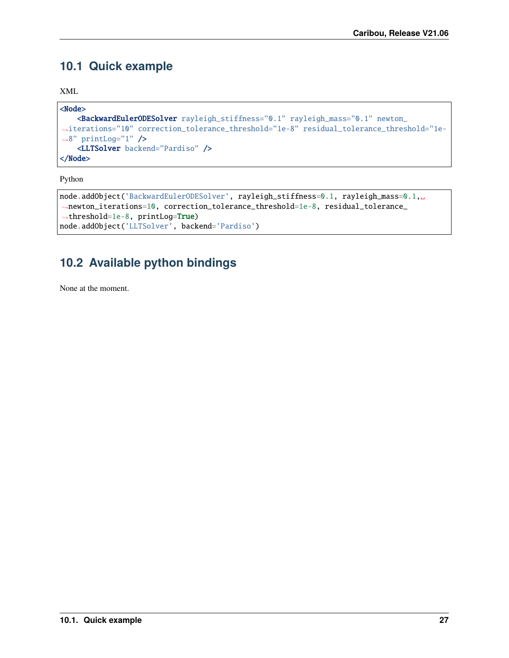# <span id="page-30-0"></span>**10.1 Quick example**

XML

```
<Node>
   <BackwardEulerODESolver rayleigh_stiffness="0.1" rayleigh_mass="0.1" newton_
˓→iterations="10" correction_tolerance_threshold="1e-8" residual_tolerance_threshold="1e-
˓→8" printLog="1" />
   <LLTSolver backend="Pardiso" />
</Node>
```
Python

```
node.addObject('BackwardEulerODESolver', rayleigh_stiffness=0.1, rayleigh_mass=0.1,
˓→newton_iterations=10, correction_tolerance_threshold=1e-8, residual_tolerance_
˓→threshold=1e-8, printLog=True)
node.addObject('LLTSolver', backend='Pardiso')
```
# <span id="page-30-1"></span>**10.2 Available python bindings**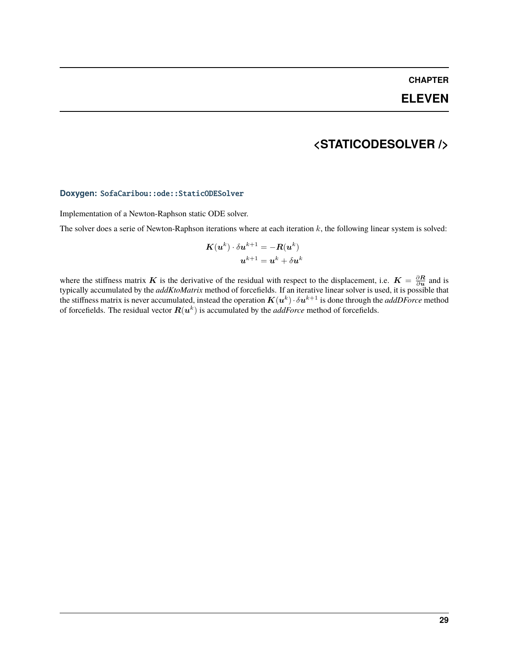### **ELEVEN**

### **<STATICODESOLVER />**

#### <span id="page-32-0"></span>**Doxygen:** SofaCaribou::ode::StaticODESolver

Implementation of a Newton-Raphson static ODE solver.

The solver does a serie of Newton-Raphson iterations where at each iteration  $k$ , the following linear system is solved:

$$
\begin{aligned} \boldsymbol{K}(\boldsymbol{u}^k)\cdot\delta\boldsymbol{u}^{k+1} &= -\boldsymbol{R}(\boldsymbol{u}^k) \\ \boldsymbol{u}^{k+1} &= \boldsymbol{u}^k + \delta\boldsymbol{u}^k \end{aligned}
$$

where the stiffness matrix K is the derivative of the residual with respect to the displacement, i.e.  $K = \frac{\partial R}{\partial u}$  and is typically accumulated by the *addKtoMatrix* method of forcefields. If an iterative linear solver is used, it is possible that the stiffness matrix is never accumulated, instead the operation  $K(u^k)\cdot \delta u^{k+1}$  is done through the *addDForce* method of forcefields. The residual vector  $\bm{R}(\bm{u}^k)$  is accumulated by the *addForce* method of forcefields.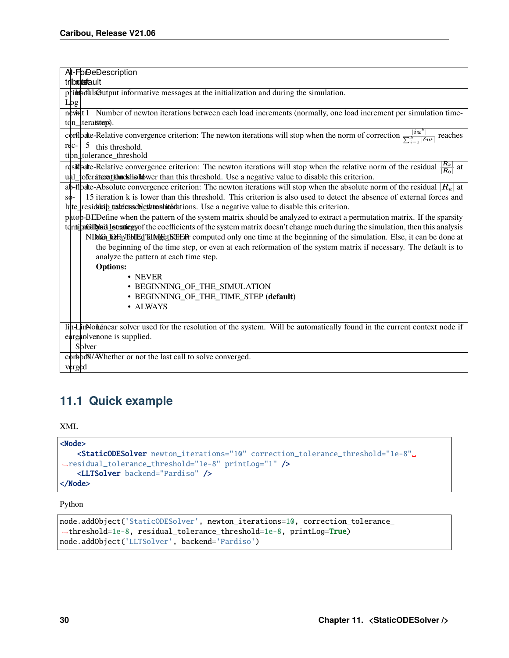| At-FolDeDescription                                                                                                                                               |
|-------------------------------------------------------------------------------------------------------------------------------------------------------------------|
| tributatault                                                                                                                                                      |
| pribodals@utput informative messages at the initialization and during the simulation.                                                                             |
| Log                                                                                                                                                               |
| neviat 1 Number of newton iterations between each load increments (normally, one load increment per simulation time-                                              |
| ton_iterations).                                                                                                                                                  |
| corrispondic-Relative convergence criterion: The newton iterations will stop when the norm of correction $\frac{ \delta u^k }{\sum_{i=0}^k  \delta u^i }$ reaches |
| $\vert$ 5<br>$rec-$<br>this threshold.                                                                                                                            |
| tion_tolerance_threshold                                                                                                                                          |
| $\frac{ R_k }{ R_0 }$ at<br>residealte-Relative convergence criterion: The newton iterations will stop when the relative norm of the residual                     |
| ual_toferaturetidunes his laborer than this threshold. Use a negative value to disable this criterion.                                                            |
| ab-floate-Absolute convergence criterion: The newton iterations will stop when the absolute norm of the residual $ R_k $ at                                       |
| 15 iteration k is lower than this threshold. This criterion is also used to detect the absence of external forces and<br>$S\Phi$ -                                |
| lute_residuality_tusketexuscNethronhided attions. Use a negative value to disable this criterion.                                                                 |
| pate BEDefine when the pattern of the system matrix should be analyzed to extract a permutation matrix. If the sparsity                                           |
| ternically is is locating not the coefficients of the system matrix doesn't change much during the simulation, then this analysis                                 |
| NING LOFAVEHIED TIME ELECTION computed only one time at the beginning of the simulation. Else, it can be done at                                                  |
| the beginning of the time step, or even at each reformation of the system matrix if necessary. The default is to                                                  |
| analyze the pattern at each time step.                                                                                                                            |
| <b>Options:</b>                                                                                                                                                   |
| • NEVER                                                                                                                                                           |
| • BEGINNING_OF_THE_SIMULATION                                                                                                                                     |
| • BEGINNING_OF_THE_TIME_STEP (default)                                                                                                                            |
| • ALWAYS                                                                                                                                                          |
|                                                                                                                                                                   |
| lin-Lin-Nohanear solver used for the resolution of the system. Will be automatically found in the current context node if                                         |
| eareably enone is supplied.                                                                                                                                       |
| Solver                                                                                                                                                            |
| corboox/AV hether or not the last call to solve converged.                                                                                                        |
| verged                                                                                                                                                            |

## <span id="page-33-0"></span>**11.1 Quick example**

XML

```
<Node>
   <StaticODESolver newton_iterations="10" correction_tolerance_threshold="1e-8"␣
˓→residual_tolerance_threshold="1e-8" printLog="1" />
   <LLTSolver backend="Pardiso" />
</Node>
```
Python

```
node.addObject('StaticODESolver', newton_iterations=10, correction_tolerance_
˓→threshold=1e-8, residual_tolerance_threshold=1e-8, printLog=True)
node.addObject('LLTSolver', backend='Pardiso')
```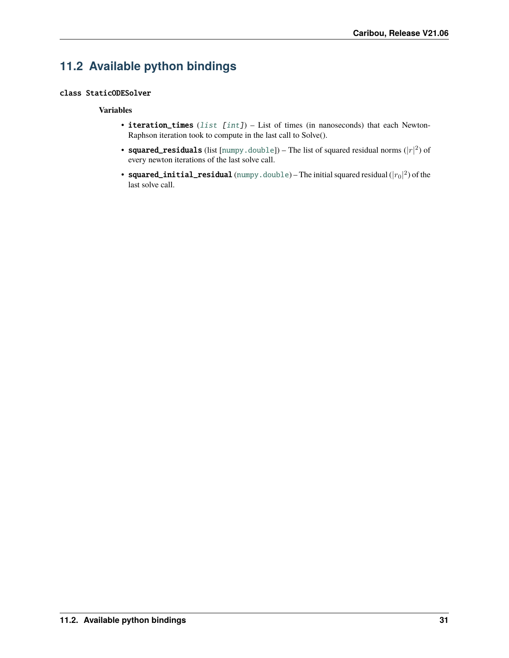# <span id="page-34-1"></span><span id="page-34-0"></span>**11.2 Available python bindings**

#### class StaticODESolver

#### **Variables**

- iteration\_times  $(list [int]) List$  $(list [int]) List$  $(list [int]) List$  $(list [int]) List$  $(list [int]) List$  of times (in nanoseconds) that each Newton-Raphson iteration took to compute in the last call to Solve().
- squared\_residuals (list [[numpy.double](https://numpy.org/doc/stable/reference/arrays.scalars.html#numpy.double)]) The list of squared residual norms ( $|r|^2$ ) of every newton iterations of the last solve call.
- squared\_initial\_residual ([numpy.double](https://numpy.org/doc/stable/reference/arrays.scalars.html#numpy.double))—The initial squared residual  $(|r_0|^2)$  of the last solve call.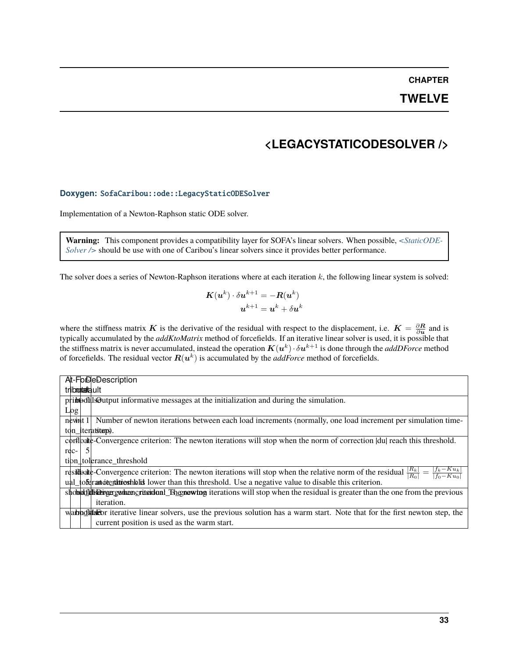### **TWELVE**

### **<LEGACYSTATICODESOLVER />**

#### <span id="page-36-0"></span>**Doxygen:** SofaCaribou::ode::LegacyStaticODESolver

Implementation of a Newton-Raphson static ODE solver.

**Warning:** This component provides a compatibility layer for SOFA's linear solvers. When possible, *[<StaticODE-](#page-32-0)[Solver />](#page-32-0)* should be use with one of Caribou's linear solvers since it provides better performance.

The solver does a series of Newton-Raphson iterations where at each iteration  $k$ , the following linear system is solved:

$$
\begin{aligned} \boldsymbol{K}(\boldsymbol{u}^k)\cdot\delta\boldsymbol{u}^{k+1} &= -\boldsymbol{R}(\boldsymbol{u}^k) \\ \boldsymbol{u}^{k+1} &= \boldsymbol{u}^k + \delta\boldsymbol{u}^k \end{aligned}
$$

where the stiffness matrix K is the derivative of the residual with respect to the displacement, i.e.  $K = \frac{\partial R}{\partial u}$  and is typically accumulated by the *addKtoMatrix* method of forcefields. If an iterative linear solver is used, it is possible that the stiffness matrix is never accumulated, instead the operation  $K(u^k)\cdot \delta u^{k+1}$  is done through the *addDForce* method of forcefields. The residual vector  $\bm{R}(\bm{u}^k)$  is accumulated by the *addForce* method of forcefields.

| At-FoDeDescription                                                                                                                                                         |
|----------------------------------------------------------------------------------------------------------------------------------------------------------------------------|
| triboontaafa.ult                                                                                                                                                           |
| primodals Output informative messages at the initialization and during the simulation.                                                                                     |
| Log                                                                                                                                                                        |
| nevint 1<br>Number of newton iterations between each load increments (normally, one load increment per simulation time-                                                    |
| ton <i>iteration</i> .                                                                                                                                                     |
| corfloalte-Convergence criterion: The newton iterations will stop when the norm of correction  du  reach this threshold.                                                   |
| rec-                                                                                                                                                                       |
| tion tolerance threshold                                                                                                                                                   |
| $f_k - Ku_k$<br>$\frac{ R_k }{ R_0 }$<br>residently convergence criterion: The newton iterations will stop when the relative norm of the residual<br>$\overline{f_0-Ku_0}$ |
| ual_toferantitentialisticshibits lower than this threshold. Use a negative value to disable this criterion.                                                                |
| shobold disengerged the revious shapes of the residual is greater than the one from the previous                                                                           |
| iteration.                                                                                                                                                                 |
| wab post about the first newton step, the previous solution has a warm start. Note that for the first newton step, the                                                     |
| current position is used as the warm start.                                                                                                                                |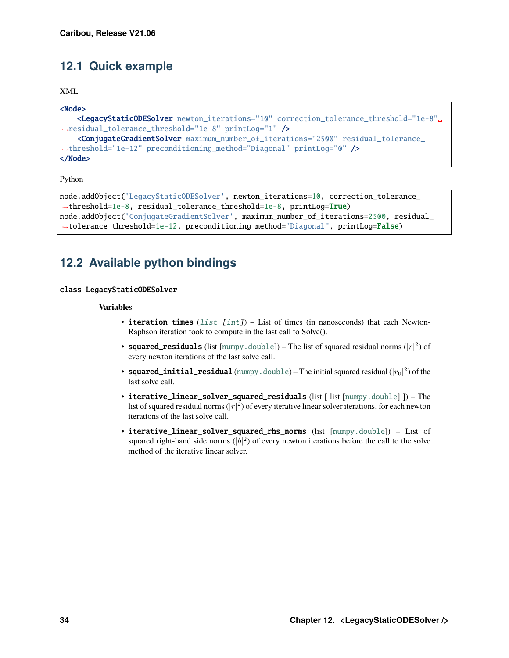## <span id="page-37-2"></span><span id="page-37-0"></span>**12.1 Quick example**

XML

```
<Node>
    <LegacyStaticODESolver newton_iterations="10" correction_tolerance_threshold="1e-8"␣
˓→residual_tolerance_threshold="1e-8" printLog="1" />
    <ConjugateGradientSolver maximum_number_of_iterations="2500" residual_tolerance_
˓→threshold="1e-12" preconditioning_method="Diagonal" printLog="0" />
</Node>
```
Python

```
node.addObject('LegacyStaticODESolver', newton_iterations=10, correction_tolerance_
˓→threshold=1e-8, residual_tolerance_threshold=1e-8, printLog=True)
node.addObject('ConjugateGradientSolver', maximum_number_of_iterations=2500, residual_
˓→tolerance_threshold=1e-12, preconditioning_method="Diagonal", printLog=False)
```
# <span id="page-37-1"></span>**12.2 Available python bindings**

#### class LegacyStaticODESolver

#### **Variables**

- iteration\_times  $(list [int]) List$  $(list [int]) List$  $(list [int]) List$  $(list [int]) List$  $(list [int]) List$  of times (in nanoseconds) that each Newton-Raphson iteration took to compute in the last call to Solve().
- squared\_residuals (list [[numpy.double](https://numpy.org/doc/stable/reference/arrays.scalars.html#numpy.double)]) The list of squared residual norms ( $|r|^2$ ) of every newton iterations of the last solve call.
- squared\_initial\_residual ([numpy.double](https://numpy.org/doc/stable/reference/arrays.scalars.html#numpy.double)) The initial squared residual  $(|r_0|^2)$  of the last solve call.
- iterative\_linear\_solver\_squared\_residuals (list [ list [[numpy.double](https://numpy.org/doc/stable/reference/arrays.scalars.html#numpy.double)] ]) The list of squared residual norms  $(|r|^2)$  of every iterative linear solver iterations, for each newton iterations of the last solve call.
- iterative\_linear\_solver\_squared\_rhs\_norms (list [[numpy.double](https://numpy.org/doc/stable/reference/arrays.scalars.html#numpy.double)]) List of squared right-hand side norms  $(|b|^2)$  of every newton iterations before the call to the solve method of the iterative linear solver.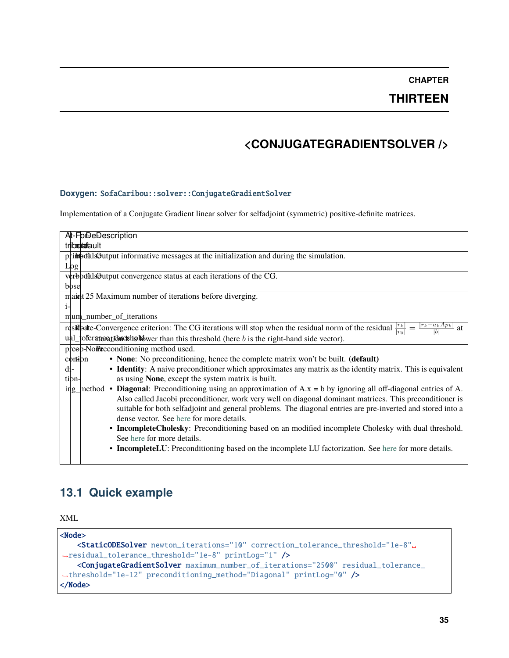### **THIRTEEN**

# **<CONJUGATEGRADIENTSOLVER />**

#### <span id="page-38-0"></span>**Doxygen:** SofaCaribou::solver::ConjugateGradientSolver

Implementation of a Conjugate Gradient linear solver for selfadjoint (symmetric) positive-definite matrices.

| At-FoDeDescription                                                                                                                                                                                                                                                                                                                                                                          |
|---------------------------------------------------------------------------------------------------------------------------------------------------------------------------------------------------------------------------------------------------------------------------------------------------------------------------------------------------------------------------------------------|
| tribmutafiault                                                                                                                                                                                                                                                                                                                                                                              |
| pribeotals@utput informative messages at the initialization and during the simulation.                                                                                                                                                                                                                                                                                                      |
| Log                                                                                                                                                                                                                                                                                                                                                                                         |
| verbodals Quitput convergence status at each iterations of the CG.                                                                                                                                                                                                                                                                                                                          |
| bose                                                                                                                                                                                                                                                                                                                                                                                        |
| maint 25 Maximum number of iterations before diverging.                                                                                                                                                                                                                                                                                                                                     |
| i-                                                                                                                                                                                                                                                                                                                                                                                          |
| mum_number_of_iterations                                                                                                                                                                                                                                                                                                                                                                    |
| residual $\frac{ r_k }{ r_0 }$ = $\frac{ r_k - a_k A p_k }{ b }$ = $\frac{ r_k - a_k A p_k }{ b }$ = $\frac{ r_k - a_k A p_k }{ b }$<br>at                                                                                                                                                                                                                                                  |
| $\mu$ al_toferates at the skhold wer than this threshold (here b is the right-hand side vector).                                                                                                                                                                                                                                                                                            |
| preep-NoRe conditioning method used.                                                                                                                                                                                                                                                                                                                                                        |
| • None: No preconditioning, hence the complete matrix won't be built. (default)<br>contion                                                                                                                                                                                                                                                                                                  |
| • Identity: A naive preconditioner which approximates any matrix as the identity matrix. This is equivalent<br>di-                                                                                                                                                                                                                                                                          |
| as using None, except the system matrix is built.<br>tion-                                                                                                                                                                                                                                                                                                                                  |
| ing method • Diagonal: Preconditioning using an approximation of $A.x = b$ by ignoring all off-diagonal entries of A.<br>Also called Jacobi preconditioner, work very well on diagonal dominant matrices. This preconditioner is<br>suitable for both selfadjoint and general problems. The diagonal entries are pre-inverted and stored into a<br>dense vector. See here for more details. |
| • IncompleteCholesky: Preconditioning based on an modified incomplete Cholesky with dual threshold.<br>See here for more details.                                                                                                                                                                                                                                                           |
| • IncompleteLU: Preconditioning based on the incomplete LU factorization. See here for more details.                                                                                                                                                                                                                                                                                        |

# <span id="page-38-1"></span>**13.1 Quick example**

XML

| $<$ Node $>$                                                                                                          |  |  |
|-----------------------------------------------------------------------------------------------------------------------|--|--|
| <staticodesolver .<="" correction_tolerance_threshold="1e-8" newton_iterations="10" td=""></staticodesolver>          |  |  |
| $\rightarrow$ residual_tolerance_threshold="1e-8" printLog="1" />                                                     |  |  |
| <conjugategradientsolver maximum_number_of_iterations="2500" residual_tolerance_<="" td=""></conjugategradientsolver> |  |  |
| $\rightarrow$ threshold="1e-12" preconditioning_method="Diagonal" printLog="0" />                                     |  |  |
| $\langle$ Node $\rangle$                                                                                              |  |  |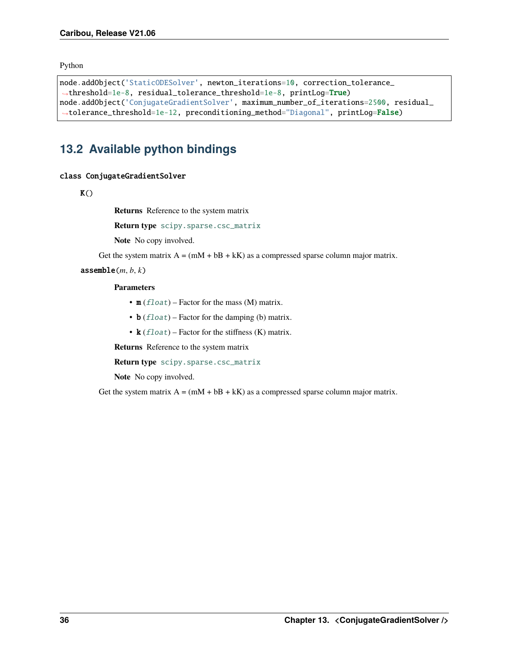<span id="page-39-1"></span>Python

```
node.addObject('StaticODESolver', newton_iterations=10, correction_tolerance_
˓→threshold=1e-8, residual_tolerance_threshold=1e-8, printLog=True)
node.addObject('ConjugateGradientSolver', maximum_number_of_iterations=2500, residual_
˓→tolerance_threshold=1e-12, preconditioning_method="Diagonal", printLog=False)
```
## <span id="page-39-0"></span>**13.2 Available python bindings**

#### class ConjugateGradientSolver

 $K()$ 

**Returns** Reference to the system matrix

**Return type** [scipy.sparse.csc\\_matrix](https://docs.scipy.org/doc/scipy/reference/generated/scipy.sparse.csc_matrix.html#scipy.sparse.csc_matrix)

**Note** No copy involved.

Get the system matrix  $A = (mM + bB + kK)$  as a compressed sparse column major matrix.

 $\texttt{assumeMe}(m, b, k)$ 

#### **Parameters**

- $m$  (*[float](https://docs.python.org/3/library/functions.html#float)*) Factor for the mass (M) matrix.
- **b**  $(f$ loat) Factor for the damping (b) matrix.
- $k$  (*[float](https://docs.python.org/3/library/functions.html#float)*) Factor for the stiffness (K) matrix.

**Returns** Reference to the system matrix

**Return type** [scipy.sparse.csc\\_matrix](https://docs.scipy.org/doc/scipy/reference/generated/scipy.sparse.csc_matrix.html#scipy.sparse.csc_matrix)

**Note** No copy involved.

Get the system matrix  $A = (mM + bB + kK)$  as a compressed sparse column major matrix.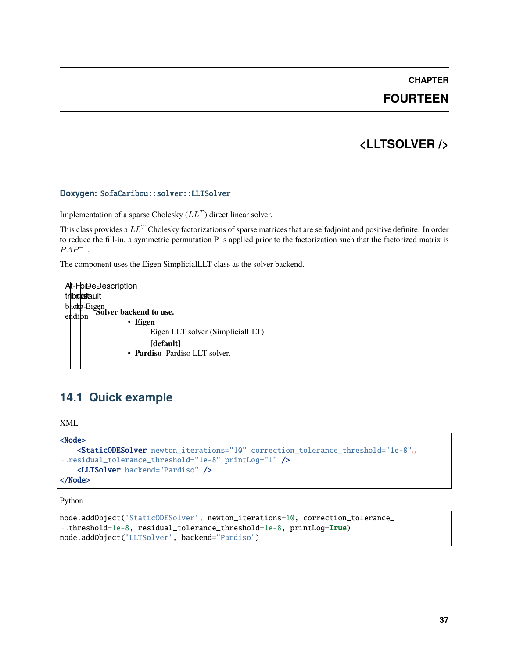### **FOURTEEN**

## **<LLTSOLVER />**

#### <span id="page-40-0"></span>**Doxygen:** SofaCaribou::solver::LLTSolver

Implementation of a sparse Cholesky ( $LL<sup>T</sup>$ ) direct linear solver.

This class provides a  $LL^T$  Cholesky factorizations of sparse matrices that are selfadjoint and positive definite. In order to reduce the fill-in, a symmetric permutation P is applied prior to the factorization such that the factorized matrix is  $PAP^{-1}$ .

The component uses the Eigen SimplicialLLT class as the solver backend.

| triboontaafa.ult | At-FolDeDescription                                                                                                                        |
|------------------|--------------------------------------------------------------------------------------------------------------------------------------------|
|                  | backer Biggn<br>Solver backend to use.<br>$\cdot$ Eigen<br>Eigen LLT solver (SimplicialLLT).<br>[default]<br>• Pardiso Pardiso LLT solver. |

### <span id="page-40-1"></span>**14.1 Quick example**

XML

```
<Node>
    <StaticODESolver newton_iterations="10" correction_tolerance_threshold="1e-8"␣
˓→residual_tolerance_threshold="1e-8" printLog="1" />
    <LLTSolver backend="Pardiso" />
</Node>
```
Python

```
node.addObject('StaticODESolver', newton_iterations=10, correction_tolerance_
˓→threshold=1e-8, residual_tolerance_threshold=1e-8, printLog=True)
node.addObject('LLTSolver', backend="Pardiso")
```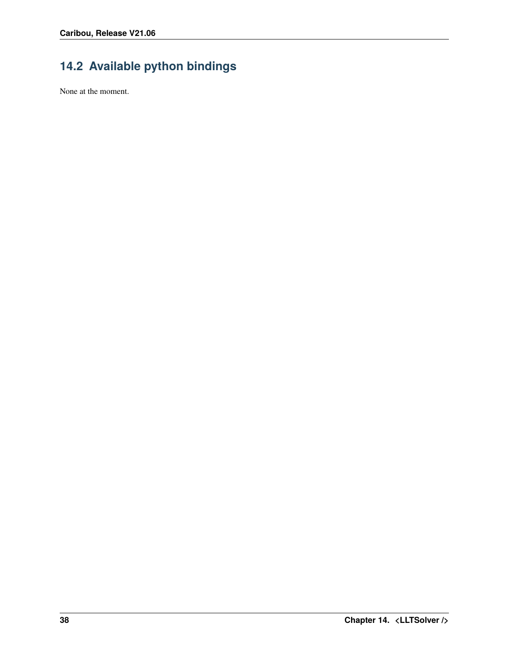# <span id="page-41-0"></span>**14.2 Available python bindings**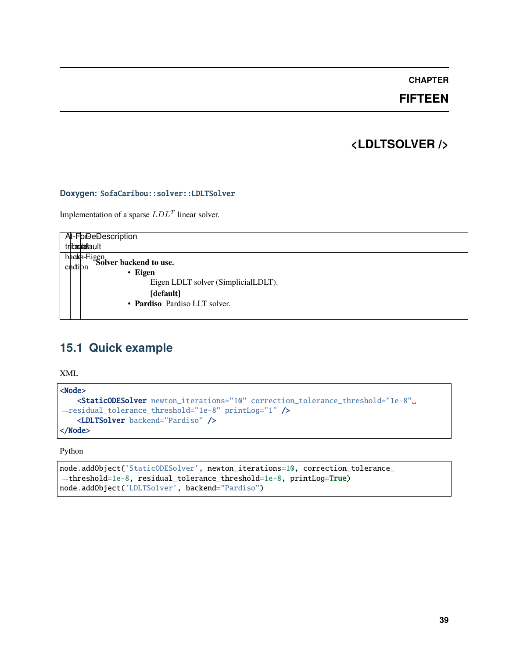### **FIFTEEN**

### **<LDLTSOLVER />**

#### <span id="page-42-0"></span>**Doxygen:** SofaCaribou::solver::LDLTSolver

Implementation of a sparse  $LDL<sup>T</sup>$  linear solver.

| At-FolDeDescription<br>triboontaafa.ult                                                                            |
|--------------------------------------------------------------------------------------------------------------------|
| $\frac{\text{badp-Eigen}}{\text{Solver backward to use.}}$<br>$\cdot$ Eigen<br>Eigen LDLT solver (SimplicialLDLT). |
| [default]<br>• Pardiso Pardiso LLT solver.                                                                         |

## <span id="page-42-1"></span>**15.1 Quick example**

XML

```
<Node>
   <StaticODESolver newton_iterations="10" correction_tolerance_threshold="1e-8"␣
˓→residual_tolerance_threshold="1e-8" printLog="1" />
   <LDLTSolver backend="Pardiso" />
</Node>
```
Python

```
node.addObject('StaticODESolver', newton_iterations=10, correction_tolerance_
˓→threshold=1e-8, residual_tolerance_threshold=1e-8, printLog=True)
node.addObject('LDLTSolver', backend="Pardiso")
```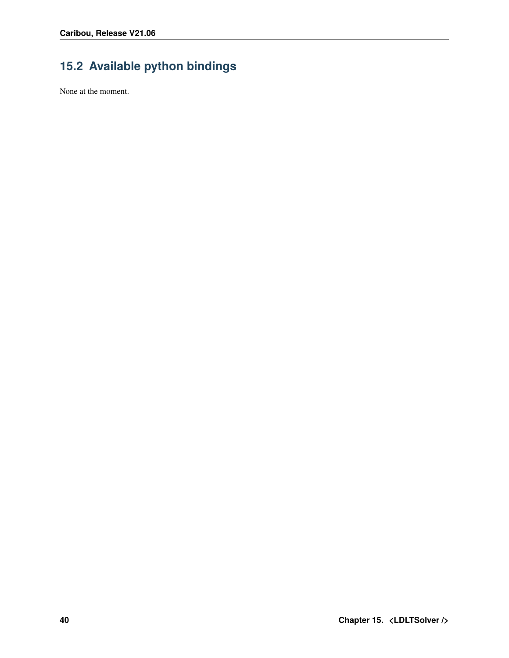# <span id="page-43-0"></span>**15.2 Available python bindings**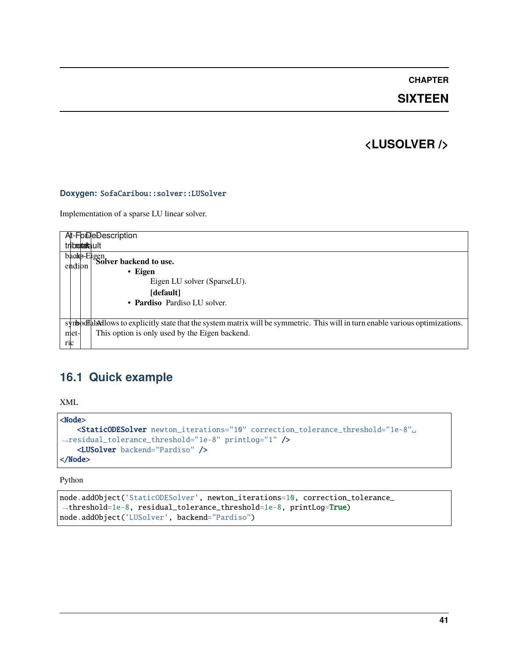### **SIXTEEN**

### **<LUSOLVER />**

#### <span id="page-44-0"></span>**Doxygen:** SofaCaribou::solver::LUSolver

Implementation of a sparse LU linear solver.

| At-FolDeDescription                                                                                                             |
|---------------------------------------------------------------------------------------------------------------------------------|
| triboontaafa.ult                                                                                                                |
| backp-Eigen<br>Solver backend to use.                                                                                           |
|                                                                                                                                 |
| $\cdot$ Eigen                                                                                                                   |
| Eigen LU solver (SparseLU).                                                                                                     |
| [default]                                                                                                                       |
| • Pardiso Pardiso LU solver.                                                                                                    |
|                                                                                                                                 |
| symbodial sellows to explicitly state that the system matrix will be symmetric. This will in turn enable various optimizations. |
| This option is only used by the Eigen backend.<br>met-                                                                          |
| ric                                                                                                                             |

# <span id="page-44-1"></span>**16.1 Quick example**

XML

```
<Node>
   <StaticODESolver newton_iterations="10" correction_tolerance_threshold="1e-8"␣
˓→residual_tolerance_threshold="1e-8" printLog="1" />
   <LUSolver backend="Pardiso" />
</Node>
```
Python

```
node.addObject('StaticODESolver', newton_iterations=10, correction_tolerance_
˓→threshold=1e-8, residual_tolerance_threshold=1e-8, printLog=True)
node.addObject('LUSolver', backend="Pardiso")
```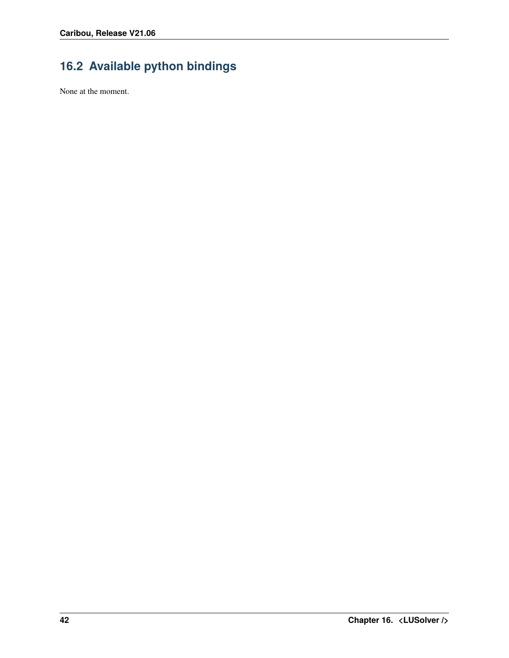# <span id="page-45-0"></span>**16.2 Available python bindings**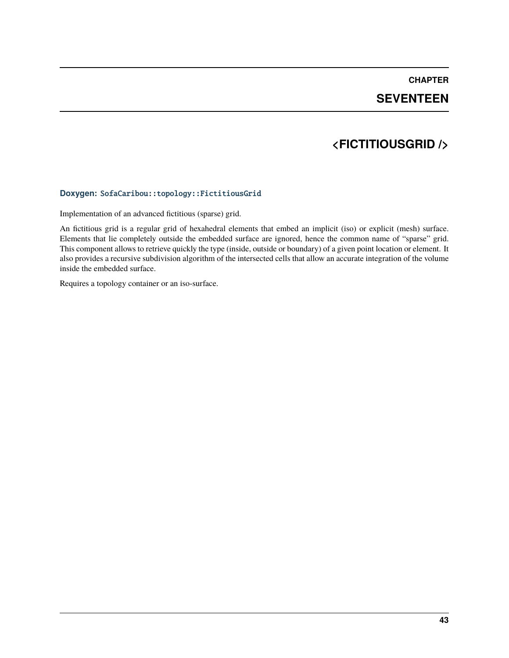### **SEVENTEEN**

### **<FICTITIOUSGRID />**

#### <span id="page-46-0"></span>**Doxygen:** SofaCaribou::topology::FictitiousGrid

Implementation of an advanced fictitious (sparse) grid.

An fictitious grid is a regular grid of hexahedral elements that embed an implicit (iso) or explicit (mesh) surface. Elements that lie completely outside the embedded surface are ignored, hence the common name of "sparse" grid. This component allows to retrieve quickly the type (inside, outside or boundary) of a given point location or element. It also provides a recursive subdivision algorithm of the intersected cells that allow an accurate integration of the volume inside the embedded surface.

Requires a topology container or an iso-surface.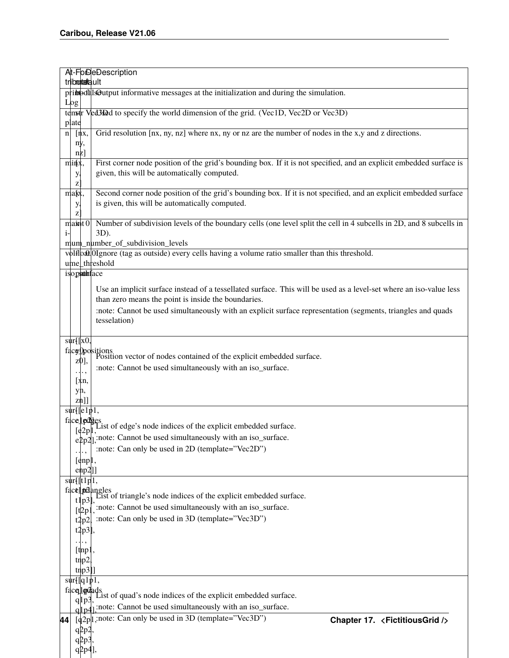. . . ,

|      |              |                                                 | At-FoDeDescription                                                                                                                                                 |
|------|--------------|-------------------------------------------------|--------------------------------------------------------------------------------------------------------------------------------------------------------------------|
|      |              | tributatault                                    |                                                                                                                                                                    |
|      | Log          |                                                 | pribeothlsOutput informative messages at the initialization and during the simulation.                                                                             |
|      |              |                                                 | temstr Ved3Ded to specify the world dimension of the grid. (Vec1D, Vec2D or Vec3D)                                                                                 |
|      | plate        |                                                 |                                                                                                                                                                    |
| n    |              | [nx,                                            | Grid resolution [nx, ny, nz] where nx, ny or nz are the number of nodes in the x,y and z directions.                                                               |
|      | ny,          |                                                 |                                                                                                                                                                    |
|      |              | $nz$ ]                                          | First corner node position of the grid's bounding box. If it is not specified, and an explicit embedded surface is                                                 |
|      | minx,<br>у,  |                                                 | given, this will be automatically computed.                                                                                                                        |
|      | Z            |                                                 |                                                                                                                                                                    |
|      | makx,<br>у,  |                                                 | Second corner node position of the grid's bounding box. If it is not specified, and an explicit embedded surface<br>is given, this will be automatically computed. |
|      | $\mathbf{z}$ |                                                 |                                                                                                                                                                    |
| $i-$ |              | max10                                           | Number of subdivision levels of the boundary cells (one level split the cell in 4 subcells in 2D, and 8 subcells in                                                |
|      |              |                                                 | 3D).<br>mum_number_of_subdivision_levels                                                                                                                           |
|      |              |                                                 | volfloat OIgnore (tag as outside) every cells having a volume ratio smaller than this threshold.                                                                   |
|      |              |                                                 | ume_threshold                                                                                                                                                      |
|      |              |                                                 | isopsuthface                                                                                                                                                       |
|      |              |                                                 | Use an implicit surface instead of a tessellated surface. This will be used as a level-set where an iso-value less                                                 |
|      |              |                                                 | than zero means the point is inside the boundaries.                                                                                                                |
|      |              |                                                 | :note: Cannot be used simultaneously with an explicit surface representation (segments, triangles and quads                                                        |
|      |              |                                                 | tesselation)                                                                                                                                                       |
|      |              |                                                 |                                                                                                                                                                    |
|      |              | $\text{sur}$ [[x0,                              |                                                                                                                                                                    |
|      |              |                                                 | $\frac{\text{fdcg} \text{D} \text{p}}{\text{c} \cdot \text{d} \cdot \text{n}}$ Position vector of nodes contained of the explicit embedded surface.                |
|      |              |                                                 | :note: Cannot be used simultaneously with an iso_surface.                                                                                                          |
|      |              | . ,                                             |                                                                                                                                                                    |
|      |              | [xn,<br>yn,                                     |                                                                                                                                                                    |
|      |              | zn]]                                            |                                                                                                                                                                    |
|      |              | $\text{sur}$ [[e $\overline{1 \text{p1}}$ ,     |                                                                                                                                                                    |
|      |              | face ledges.                                    | List of edge's node indices of the explicit embedded surface.                                                                                                      |
|      |              | $\lbrack \mathbf{e} \vert 2p \vert \mathbf{l},$ | $\exp[2]$ ; note: Cannot be used simultaneously with an iso_surface.                                                                                               |
|      |              |                                                 | :note: Can only be used in 2D (template="Vec2D")                                                                                                                   |
|      |              |                                                 |                                                                                                                                                                    |
|      |              | $\lceil \text{enpl} \rceil$<br>enp2]]           |                                                                                                                                                                    |
|      |              | $\sqrt{\text{str}[\text{t1p1}, \text{m}]}$      |                                                                                                                                                                    |
|      |              |                                                 | $\text{fact}$ primalist of triangle's node indices of the explicit embedded surface.                                                                               |
|      |              |                                                 |                                                                                                                                                                    |
|      |              |                                                 | $\left[\frac{1}{2p}\right]$ , note: Cannot be used simultaneously with an iso_surface.                                                                             |
|      |              | t2p2                                            | :note: Can only be used in 3D (template="Vec3D")                                                                                                                   |
|      |              | $t2p3$ ],                                       |                                                                                                                                                                    |
|      |              | $[$ tmp $]$                                     |                                                                                                                                                                    |
|      |              | tmp2                                            |                                                                                                                                                                    |
|      |              | tnp3]]                                          |                                                                                                                                                                    |
|      |              | $\text{sur}$ [[q1p1,                            |                                                                                                                                                                    |
|      |              | facelledads                                     | List of quad's node indices of the explicit embedded surface.                                                                                                      |
|      |              | $q$   $p$ 3                                     | q p4]; note: Cannot be used simultaneously with an iso_surface.                                                                                                    |
| 44   |              |                                                 | $\left[\frac{d}{2p}\right]$ ; note: Can only be used in 3D (template="Vec3D")                                                                                      |
|      |              | q2p2                                            | Chapter 17. <fictitiousgrid></fictitiousgrid>                                                                                                                      |
|      |              | $qpp3$ ,                                        |                                                                                                                                                                    |
|      |              | $q2p4$ ],                                       |                                                                                                                                                                    |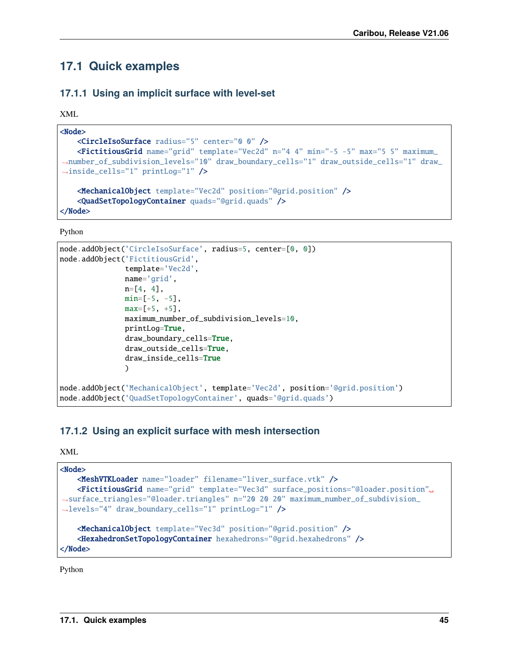## <span id="page-48-0"></span>**17.1 Quick examples**

### **17.1.1 Using an implicit surface with level-set**

XML

```
<Node>
   <CircleIsoSurface radius="5" center="0 0" />
   <FictitiousGrid name="grid" template="Vec2d" n="4 4" min="-5 -5" max="5 5" maximum_
˓→number_of_subdivision_levels="10" draw_boundary_cells="1" draw_outside_cells="1" draw_
˓→inside_cells="1" printLog="1" />
   <MechanicalObject template="Vec2d" position="@grid.position" />
    <QuadSetTopologyContainer quads="@grid.quads" />
```
</Node>

Python

```
node.addObject('CircleIsoSurface', radius=5, center=[0, 0])
node.addObject('FictitiousGrid',
               template='Vec2d',
               name='grid',
               n = [4, 4],min=[-5, -5],
               max=[+5, +5],
               maximum_number_of_subdivision_levels=10,
               printLog=True,
               draw_boundary_cells=True,
               draw_outside_cells=True,
               draw_inside_cells=True
               )
node.addObject('MechanicalObject', template='Vec2d', position='@grid.position')
node.addObject('QuadSetTopologyContainer', quads='@grid.quads')
```
### **17.1.2 Using an explicit surface with mesh intersection**

XML

```
<Node>
   <MeshVTKLoader name="loader" filename="liver_surface.vtk" />
   <FictitiousGrid name="grid" template="Vec3d" surface_positions="@loader.position"␣
˓→surface_triangles="@loader.triangles" n="20 20 20" maximum_number_of_subdivision_
˓→levels="4" draw_boundary_cells="1" printLog="1" />
   <MechanicalObject template="Vec3d" position="@grid.position" />
   <HexahedronSetTopologyContainer hexahedrons="@grid.hexahedrons" />
</Node>
```
Python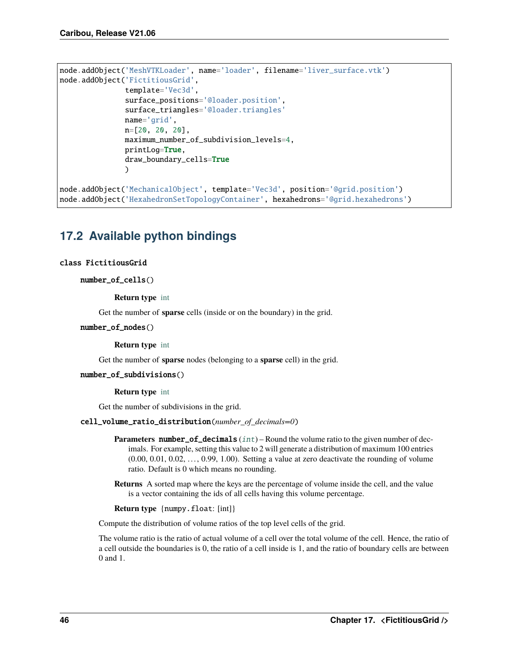```
node.addObject('MeshVTKLoader', name='loader', filename='liver_surface.vtk')
node.addObject('FictitiousGrid',
               template='Vec3d',
               surface_positions='@loader.position',
               surface_triangles='@loader.triangles'
               name='grid',
               n=[20, 20, 20],
               maximum_number_of_subdivision_levels=4,
               printLog=True,
               draw_boundary_cells=True
               \lambdanode.addObject('MechanicalObject', template='Vec3d', position='@grid.position')
```
node.addObject('HexahedronSetTopologyContainer', hexahedrons='@grid.hexahedrons')

# <span id="page-49-0"></span>**17.2 Available python bindings**

#### class FictitiousGrid

number\_of\_cells()

**Return type** [int](https://docs.python.org/3/library/functions.html#int)

Get the number of **sparse** cells (inside or on the boundary) in the grid.

#### number\_of\_nodes()

**Return type** [int](https://docs.python.org/3/library/functions.html#int)

Get the number of **sparse** nodes (belonging to a **sparse** cell) in the grid.

#### number\_of\_subdivisions()

**Return type** [int](https://docs.python.org/3/library/functions.html#int)

Get the number of subdivisions in the grid.

#### cell\_volume\_ratio\_distribution(*number\_of\_decimals=0*)

- **Parameters number\_of\_decimals** ([int](https://docs.python.org/3/library/functions.html#int)) Round the volume ratio to the given number of decimals. For example, setting this value to 2 will generate a distribution of maximum 100 entries  $(0.00, 0.01, 0.02, \ldots, 0.99, 1.00)$ . Setting a value at zero deactivate the rounding of volume ratio. Default is 0 which means no rounding.
- **Returns** A sorted map where the keys are the percentage of volume inside the cell, and the value is a vector containing the ids of all cells having this volume percentage.

**Return type** {numpy.float: [int]}

Compute the distribution of volume ratios of the top level cells of the grid.

The volume ratio is the ratio of actual volume of a cell over the total volume of the cell. Hence, the ratio of a cell outside the boundaries is 0, the ratio of a cell inside is 1, and the ratio of boundary cells are between 0 and 1.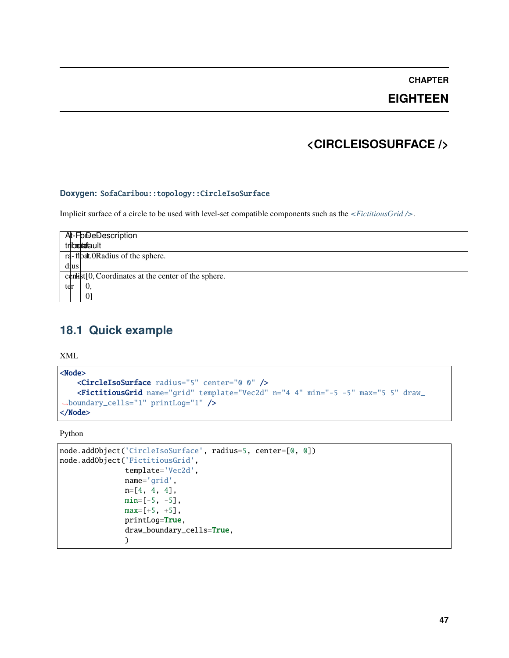**EIGHTEEN**

## **<CIRCLEISOSURFACE />**

#### <span id="page-50-0"></span>**Doxygen:** SofaCaribou::topology::CircleIsoSurface

Implicit surface of a circle to be used with level-set compatible components such as the *[<FictitiousGrid />](#page-46-0)*.

| At-ForDeDescription<br>tribultatault                      |
|-----------------------------------------------------------|
| ra-float ORadius of the sphere.                           |
| dius                                                      |
| $c$ enlist $[0,$ Coordinates at the center of the sphere. |
| 0<br>ter                                                  |
|                                                           |

# <span id="page-50-1"></span>**18.1 Quick example**

XML

```
<Node>
   <CircleIsoSurface radius="5" center="0 0" />
   <FictitiousGrid name="grid" template="Vec2d" n="4 4" min="-5 -5" max="5 5" draw_
˓→boundary_cells="1" printLog="1" />
</Node>
```
Python

```
node.addObject('CircleIsoSurface', radius=5, center=[0, 0])
node.addObject('FictitiousGrid',
               template='Vec2d',
               name='grid',
               n=[4, 4, 4],
               min=[-5, -5],max=[+5, +5],printLog=True,
               draw_boundary_cells=True,
               )
```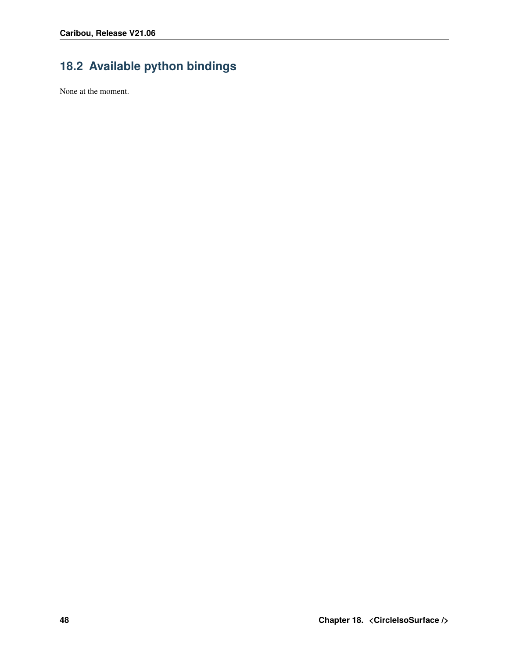# <span id="page-51-0"></span>**18.2 Available python bindings**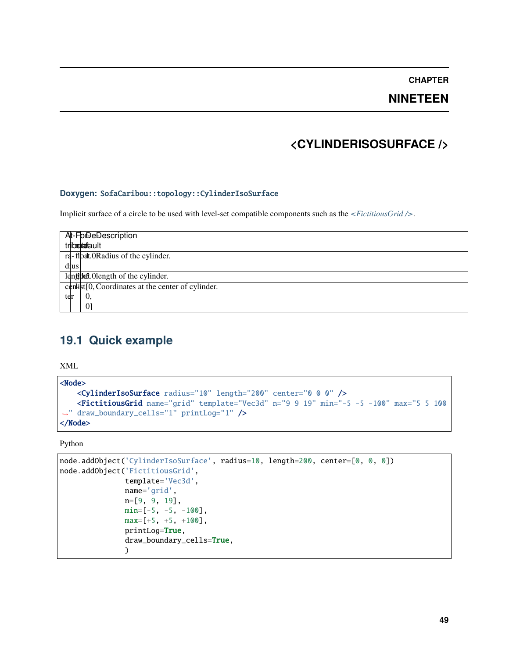**NINETEEN**

### **<CYLINDERISOSURFACE />**

#### <span id="page-52-0"></span>**Doxygen:** SofaCaribou::topology::CylinderIsoSurface

Implicit surface of a circle to be used with level-set compatible components such as the *[<FictitiousGrid />](#page-46-0)*.

| At-FolDeDescription                                     |
|---------------------------------------------------------|
| tributatault                                            |
| ra-float ORadius of the cylinder.                       |
| dius                                                    |
| lengthand length of the cylinder.                       |
| $c$ enlist $[0,$ Coordinates at the center of cylinder. |
| 0<br>ter                                                |
|                                                         |

### <span id="page-52-1"></span>**19.1 Quick example**

XML

```
<Node>
   <CylinderIsoSurface radius="10" length="200" center="0 0 0" />
   <FictitiousGrid name="grid" template="Vec3d" n="9 9 19" min="-5 -5 -100" max="5 5 100
˓→" draw_boundary_cells="1" printLog="1" />
</Node>
```
Python

```
node.addObject('CylinderIsoSurface', radius=10, length=200, center=[0, 0, 0])
node.addObject('FictitiousGrid',
               template='Vec3d',
               name='grid',
               n=[9, 9, 19],
               min=[-5, -5, -100],
               max=[+5, +5, +100],
               printLog=True,
               draw_boundary_cells=True,
               \lambda
```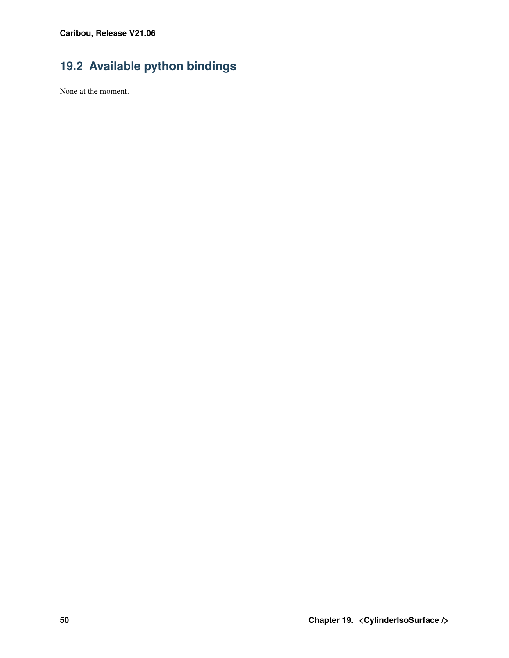# <span id="page-53-0"></span>**19.2 Available python bindings**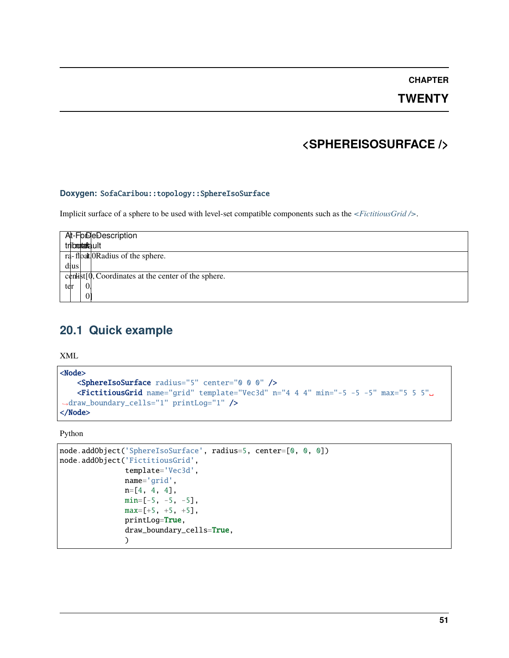**TWENTY**

## **<SPHEREISOSURFACE />**

#### <span id="page-54-0"></span>**Doxygen:** SofaCaribou::topology::SphereIsoSurface

Implicit surface of a sphere to be used with level-set compatible components such as the *[<FictitiousGrid />](#page-46-0)*.

| At-FolDeDescription                                     |
|---------------------------------------------------------|
| tribmutatault                                           |
| ra-float ORadius of the sphere.                         |
| dius                                                    |
| centrist $[0,$ Coordinates at the center of the sphere. |
| $\Omega$<br>ter                                         |
|                                                         |

# <span id="page-54-1"></span>**20.1 Quick example**

XML

```
<Node>
   <SphereIsoSurface radius="5" center="0 0 0" />
   <FictitiousGrid name="grid" template="Vec3d" n="4 4 4" min="-5 -5 -5" max="5 5 5"␣
˓→draw_boundary_cells="1" printLog="1" />
</Node>
```
Python

```
node.addObject('SphereIsoSurface', radius=5, center=[0, 0, 0])
node.addObject('FictitiousGrid',
               template='Vec3d',
               name='grid',
               n=[4, 4, 4],
               min=[-5, -5, -5],
               max=[+5, +5, +5],
               printLog=True,
               draw_boundary_cells=True,
               )
```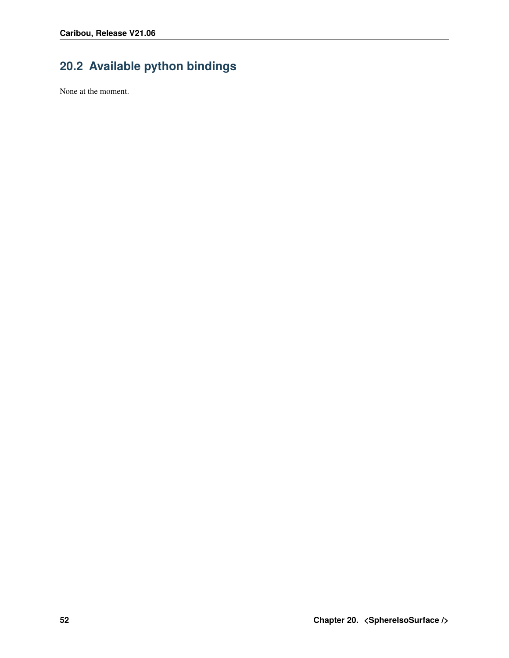# <span id="page-55-0"></span>**20.2 Available python bindings**